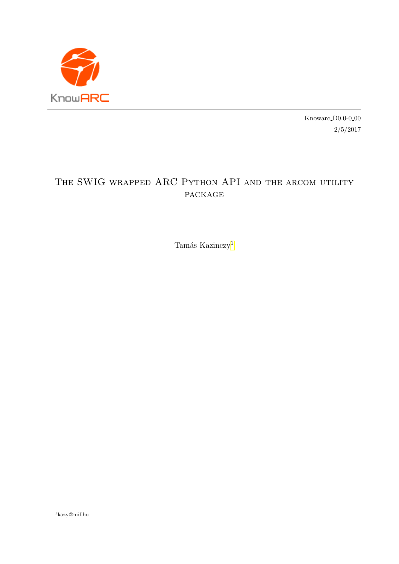

 $\,$ Knowarc D0.0-0<br/>-00 2/5/2017

# THE SWIG WRAPPED ARC PYTHON API AND THE ARCOM UTILITY package

Tamás Kazinczy<sup>[1](#page-0-0)</sup>

<span id="page-0-0"></span><sup>1</sup>kazy@niif.hu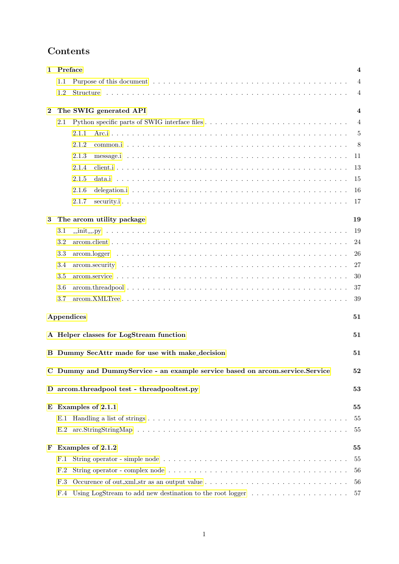# Contents

| 1        | Preface<br>4                                                                       |                                                                                                                       |          |  |  |  |  |  |
|----------|------------------------------------------------------------------------------------|-----------------------------------------------------------------------------------------------------------------------|----------|--|--|--|--|--|
|          | $1.1\,$                                                                            |                                                                                                                       |          |  |  |  |  |  |
|          | 1.2                                                                                | Structure                                                                                                             | 4        |  |  |  |  |  |
| $\bf{2}$ | The SWIG generated API                                                             |                                                                                                                       |          |  |  |  |  |  |
|          | 2.1                                                                                |                                                                                                                       | 4        |  |  |  |  |  |
|          |                                                                                    | 2.1.1                                                                                                                 | 5        |  |  |  |  |  |
|          |                                                                                    | 2.1.2                                                                                                                 | 8        |  |  |  |  |  |
|          |                                                                                    | 2.1.3                                                                                                                 | 11       |  |  |  |  |  |
|          |                                                                                    | 2.1.4                                                                                                                 | 13       |  |  |  |  |  |
|          |                                                                                    | 2.1.5                                                                                                                 | 15       |  |  |  |  |  |
|          |                                                                                    | 2.1.6                                                                                                                 | 16       |  |  |  |  |  |
|          |                                                                                    | 2.1.7                                                                                                                 | 17       |  |  |  |  |  |
| 3        |                                                                                    | The arcom utility package                                                                                             | 19       |  |  |  |  |  |
|          | 3.1                                                                                |                                                                                                                       | 19       |  |  |  |  |  |
|          | 3.2                                                                                |                                                                                                                       | 24       |  |  |  |  |  |
|          | 3.3                                                                                |                                                                                                                       | 26       |  |  |  |  |  |
|          | 3.4                                                                                |                                                                                                                       | 27       |  |  |  |  |  |
|          | 3.5                                                                                |                                                                                                                       | 30       |  |  |  |  |  |
|          | 3.6                                                                                |                                                                                                                       | 37       |  |  |  |  |  |
|          | 3.7                                                                                |                                                                                                                       | 39       |  |  |  |  |  |
|          |                                                                                    | Appendices                                                                                                            | 51       |  |  |  |  |  |
|          |                                                                                    | A Helper classes for LogStream function                                                                               | 51       |  |  |  |  |  |
|          |                                                                                    |                                                                                                                       |          |  |  |  |  |  |
|          |                                                                                    | B Dummy SecAttr made for use with make_decision                                                                       | 51       |  |  |  |  |  |
|          | C Dummy and DummyService - an example service based on arcom.service.Service<br>52 |                                                                                                                       |          |  |  |  |  |  |
|          |                                                                                    | D arcom.threadpool test - threadpooltest.py                                                                           | 53       |  |  |  |  |  |
|          | $E$ Examples of 2.1.1                                                              |                                                                                                                       |          |  |  |  |  |  |
|          | E.1                                                                                |                                                                                                                       | 55<br>55 |  |  |  |  |  |
|          |                                                                                    |                                                                                                                       | 55       |  |  |  |  |  |
| F        | Examples of 2.1.2                                                                  |                                                                                                                       |          |  |  |  |  |  |
|          | F.1                                                                                |                                                                                                                       | 55       |  |  |  |  |  |
|          | F.2                                                                                |                                                                                                                       | 56       |  |  |  |  |  |
|          | F.3                                                                                | Occurence of out_xml_str as an output value $\dots \dots \dots \dots \dots \dots \dots \dots \dots \dots \dots \dots$ | 56       |  |  |  |  |  |
|          | F.4                                                                                |                                                                                                                       | 57       |  |  |  |  |  |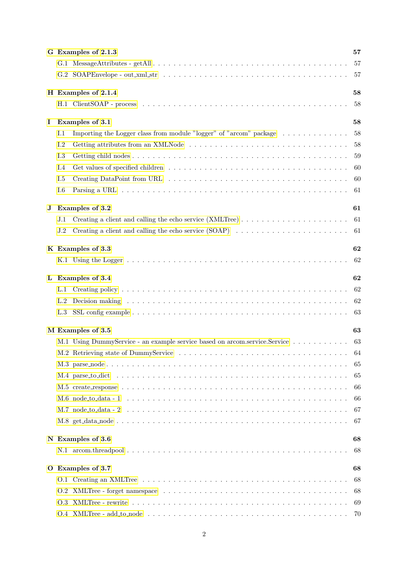|         | G Examples of 2.1.3                                                                                                                                                                                                                   | 57  |
|---------|---------------------------------------------------------------------------------------------------------------------------------------------------------------------------------------------------------------------------------------|-----|
|         |                                                                                                                                                                                                                                       | 57  |
|         |                                                                                                                                                                                                                                       | 57  |
|         | H Examples of 2.1.4                                                                                                                                                                                                                   | 58  |
|         |                                                                                                                                                                                                                                       | 58  |
| Ι.      | Examples of 3.1                                                                                                                                                                                                                       | 58  |
|         | Importing the Logger class from module "logger" of "arcom" package<br>I.1                                                                                                                                                             | 58  |
|         | I.2<br>Getting attributes from an XMLNode                                                                                                                                                                                             | 58  |
|         | I.3                                                                                                                                                                                                                                   | 59  |
|         | I.4                                                                                                                                                                                                                                   | 60  |
|         | I.5                                                                                                                                                                                                                                   | 60  |
|         | I.6                                                                                                                                                                                                                                   | 61  |
| $\bf J$ | Examples of 3.2                                                                                                                                                                                                                       | 61  |
|         | J.1                                                                                                                                                                                                                                   | 61  |
|         | J.2                                                                                                                                                                                                                                   | 61  |
|         | K Examples of 3.3                                                                                                                                                                                                                     | 62  |
|         |                                                                                                                                                                                                                                       | 62  |
| L       | Examples of 3.4                                                                                                                                                                                                                       | 62  |
|         | L.1                                                                                                                                                                                                                                   | 62  |
|         | Decision making resources in the contract of the contract of the contract of the contract of the contract of the contract of the contract of the contract of the contract of the contract of the contract of the contract of t<br>L.2 | 62  |
|         | L.3                                                                                                                                                                                                                                   | 63  |
|         | M Examples of 3.5                                                                                                                                                                                                                     | 63  |
|         | M.1 Using DummyService - an example service based on arcom.service.Service                                                                                                                                                            | 63  |
|         |                                                                                                                                                                                                                                       | 64  |
|         |                                                                                                                                                                                                                                       | 65  |
|         |                                                                                                                                                                                                                                       | 65  |
|         |                                                                                                                                                                                                                                       | 66  |
|         |                                                                                                                                                                                                                                       | 66  |
|         |                                                                                                                                                                                                                                       | 67  |
|         |                                                                                                                                                                                                                                       | 67  |
|         | N Examples of 3.6                                                                                                                                                                                                                     | 68  |
|         |                                                                                                                                                                                                                                       | 68  |
|         | O Examples of 3.7                                                                                                                                                                                                                     | 68  |
|         |                                                                                                                                                                                                                                       | 68  |
|         |                                                                                                                                                                                                                                       | 68  |
|         |                                                                                                                                                                                                                                       | 69  |
|         |                                                                                                                                                                                                                                       | -70 |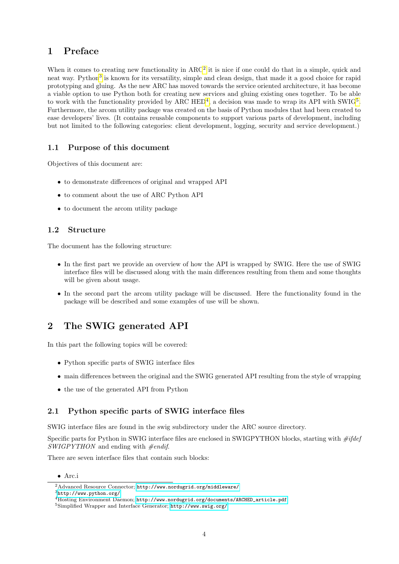## <span id="page-4-0"></span>1 Preface

When it comes to creating new functionality in  $\rm{ARC^2}$  $\rm{ARC^2}$  $\rm{ARC^2}$  it is nice if one could do that in a simple, quick and neat way. Python<sup>[3](#page-4-6)</sup> is known for its versatility, simple and clean design, that made it a good choice for rapid prototyping and gluing. As the new ARC has moved towards the service oriented architecture, it has become a viable option to use Python both for creating new services and gluing existing ones together. To be able to work with the functionality provided by ARC  $\rm{HED^4}$  $\rm{HED^4}$  $\rm{HED^4}$ , a decision was made to wrap its API with SWIG<sup>[5](#page-4-8)</sup>. Furthermore, the arcom utility package was created on the basis of Python modules that had been created to ease developers' lives. (It contains reusable components to support various parts of development, including but not limited to the following categories: client development, logging, security and service development.)

## <span id="page-4-1"></span>1.1 Purpose of this document

Objectives of this document are:

- to demonstrate differences of original and wrapped API
- to comment about the use of ARC Python API
- to document the arcom utility package

## <span id="page-4-2"></span>1.2 Structure

The document has the following structure:

- In the first part we provide an overview of how the API is wrapped by SWIG. Here the use of SWIG interface files will be discussed along with the main differences resulting from them and some thoughts will be given about usage.
- In the second part the arcom utility package will be discussed. Here the functionality found in the package will be described and some examples of use will be shown.

## <span id="page-4-3"></span>2 The SWIG generated API

In this part the following topics will be covered:

- Python specific parts of SWIG interface files
- main differences between the original and the SWIG generated API resulting from the style of wrapping
- the use of the generated API from Python

## <span id="page-4-4"></span>2.1 Python specific parts of SWIG interface files

SWIG interface files are found in the swig subdirectory under the ARC source directory.

Specific parts for Python in SWIG interface files are enclosed in SWIGPYTHON blocks, starting with  $\#ifdef$  $SWIGPYTHON$  and ending with  $\#endif.$ 

There are seven interface files that contain such blocks:

<sup>•</sup> Arc.i

<span id="page-4-5"></span><sup>2</sup>Advanced Resource Connector; <http://www.nordugrid.org/middleware/>

<span id="page-4-6"></span><sup>3</sup><http://www.python.org/>

<span id="page-4-7"></span><sup>4</sup>Hosting Environment Daemon; [http://www.nordugrid.org/documents/ARCHED\\_article.pdf](http://www.nordugrid.org/documents/ARCHED_article.pdf)

<span id="page-4-8"></span><sup>5</sup>Simplified Wrapper and Interface Generator; <http://www.swig.org/>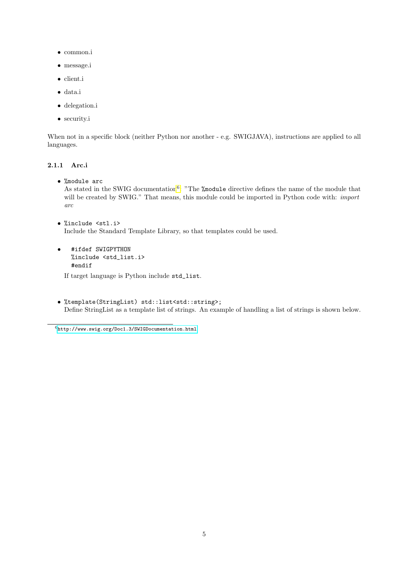- common.i
- message.i
- client.i
- data.i
- delegation.i
- security.i

When not in a specific block (neither Python nor another - e.g. SWIGJAVA), instructions are applied to all languages.

## <span id="page-5-0"></span>2.1.1 Arc.i

• %module arc

As stated in the SWIG documentation<sup>[6](#page-5-1)</sup>: "The **%module** directive defines the name of the module that will be created by SWIG." That means, this module could be imported in Python code with: *import* arc

- %include <stl.i> Include the Standard Template Library, so that templates could be used.
- #ifdef SWIGPYTHON %include <std\_list.i> #endif

If target language is Python include std\_list.

• %template(StringList) std::list<std::string>; Define StringList as a template list of strings. An example of handling a list of strings is shown below.

<span id="page-5-1"></span> $6$ <http://www.swig.org/Doc1.3/SWIGDocumentation.html>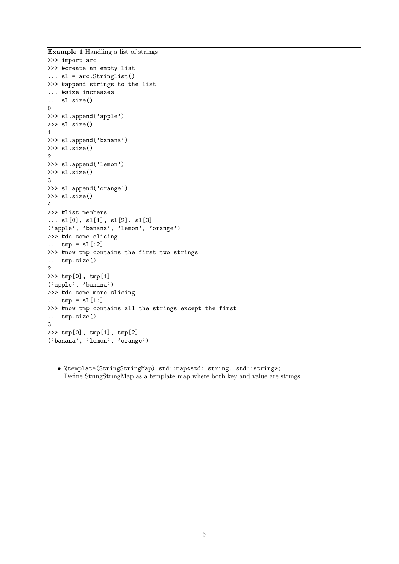Example 1 Handling a list of strings

```
>>> import arc
>>> #create an empty list
... sl = arc.StringList()
>>> #append strings to the list
... #size increases
... sl.size()
\Omega>>> sl.append('apple')
>>> sl.size()
1
>>> sl.append('banana')
>>> sl.size()
2
>>> sl.append('lemon')
>>> sl.size()
3
>>> sl.append('orange')
>>> sl.size()
\Delta>>> #list members
... sl[0], sl[1], sl[2], sl[3]
('apple', 'banana', 'lemon', 'orange')
>>> #do some slicing
\ldots tmp = sl[:2]>>> #now tmp contains the first two strings
... tmp.size()
2
>>> tmp[0], tmp[1]
('apple', 'banana')
>>> #do some more slicing
... tmp = s1[1:]>>> #now tmp contains all the strings except the first
... tmp.size()
3
>>> tmp[0], tmp[1], tmp[2]
('banana', 'lemon', 'orange')
```
• %template(StringStringMap) std::map<std::string, std::string>; Define StringStringMap as a template map where both key and value are strings.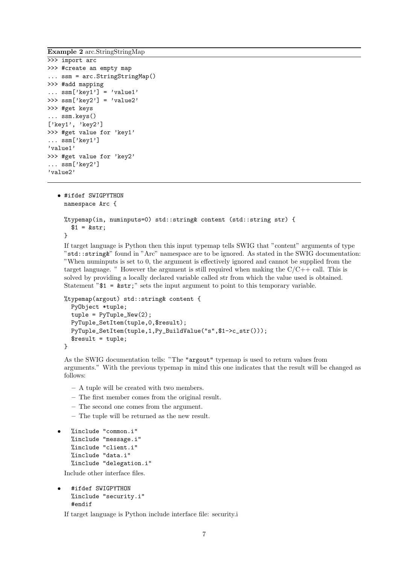Example 2 arc.StringStringMap

```
>>> import arc
>>> #create an empty map
... ssm = arc.StringStringMap()
>>> #add mapping
\ldots ssm['key1'] = 'value1'
>>> ssm['key2'] = 'value2'
>>> #get keys
... ssm.keys()
['key1', 'key2']
>>> #get value for 'key1'
... ssm['key1']
'value1'
>>> #get value for 'key2'
... ssm['key2']
'value2'
```

```
• #ifdef SWIGPYTHON
 namespace Arc {
 %typemap(in, numinputs=0) std::string& content (std::string str) {
   $1 = kstr:}
```
If target language is Python then this input typemap tells SWIG that "content" arguments of type "std::string&" found in "Arc" namespace are to be ignored. As stated in the SWIG documentation: "When numinputs is set to 0, the argument is effectively ignored and cannot be supplied from the target language. " However the argument is still required when making the  $C/C++$  call. This is solved by providing a locally declared variable called str from which the value used is obtained. Statement  $"\$  =  $\&\$ str;" sets the input argument to point to this temporary variable.

```
%typemap(argout) std::string& content {
 PyObject *tuple;
  tuple = PyTuple_New(2);
 PyTuple_SetItem(tuple,0,$result);
 PyTuple_SetItem(tuple,1,Py_BuildValue("s",$1->c_str()));
  $result = tuple;
}
```
As the SWIG documentation tells: "The "argout" typemap is used to return values from arguments." With the previous typemap in mind this one indicates that the result will be changed as follows:

- A tuple will be created with two members.
- The first member comes from the original result.
- The second one comes from the argument.
- The tuple will be returned as the new result.

```
• %include "common.i"
%include "message.i"
%include "client.i"
%include "data.i"
%include "delegation.i"
```
Include other interface files.

• #ifdef SWIGPYTHON %include "security.i" #endif

If target language is Python include interface file: security.i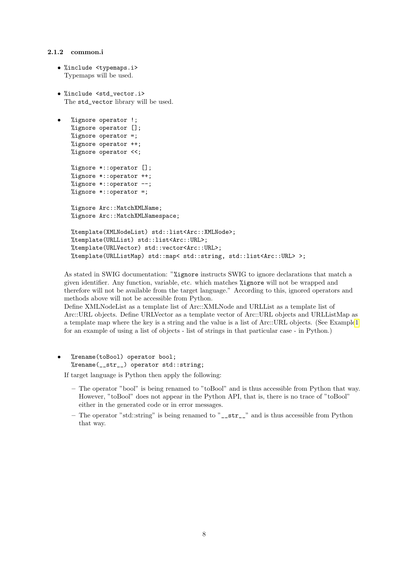#### <span id="page-8-0"></span>2.1.2 common.i

```
• %include <typemaps.i>
  Typemaps will be used.
```
• %include <std\_vector.i> The std\_vector library will be used.

```
• %ignore operator !;
%ignore operator [];
%ignore operator =;
%ignore operator ++;
%ignore operator <<;
%ignore *::operator [];
%ignore *::operator ++;
%ignore *::operator --;
%ignore *::operator =;
%ignore Arc::MatchXMLName;
%ignore Arc:: MatchXMLNamespace;
%template(XMLNodeList) std::list<Arc::XMLNode>;
%template(URLList) std::list<Arc::URL>;
%template(URLVector) std::vector<Arc::URL>;
%template(URLListMap) std::map< std::string, std::list<Arc::URL> >;
```
As stated in SWIG documentation: "%ignore instructs SWIG to ignore declarations that match a given identifier. Any function, variable, etc. which matches %ignore will not be wrapped and therefore will not be available from the target language." According to this, ignored operators and methods above will not be accessible from Python.

Define XMLNodeList as a template list of Arc::XMLNode and URLList as a template list of Arc::URL objects. Define URLVector as a template vector of Arc::URL objects and URLListMap as a template map where the key is a string and the value is a list of Arc::URL objects. (See Exampl[e1](#page-6-0) for an example of using a list of objects - list of strings in that particular case - in Python.)

#### • %rename(toBool) operator bool; %rename( str ) operator std::string;

If target language is Python then apply the following:

- The operator "bool" is being renamed to "toBool" and is thus accessible from Python that way. However, "toBool" does not appear in the Python API, that is, there is no trace of "toBool" either in the generated code or in error messages.
- The operator "std::string" is being renamed to " $\sigma$  str\_" and is thus accessible from Python that way.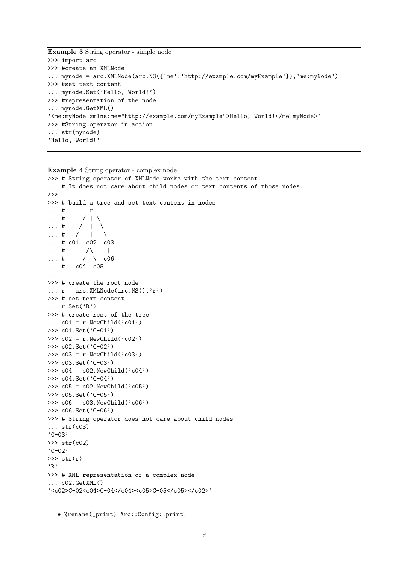Example 3 String operator - simple node

```
>>> import arc
>>> #create an XMLNode
... mynode = arc.XMLNode(arc.NS({'me':'http://example.com/myExample'}),'me:myNode')
>>> #set text content
... mynode.Set('Hello, World!')
>>> #representation of the node
... mynode.GetXML()
'<me:myNode xmlns:me="http://example.com/myExample">Hello, World!</me:myNode>'
>>> #String operator in action
... str(mynode)
'Hello, World!'
```

```
Example 4 String operator - complex node
>>> # String operator of XMLNode works with the text content.
... # It does not care about child nodes or text contents of those nodes.
>>>
>>> # build a tree and set text content in nodes
\ldots # r
... # / | \setminus... # / | \ \ \ \ \ \ \ \ \ \ \ \ \\ldots # / | \
... # c01 c02 c03
\ldots # \land |
... # / \ \ 06... # c04 c05
...
>>> # create the root node
\ldots r = arc. XMLNode(arc.NS(),'r')
>>> # set text content
\ldots r. Set ('R')
>>> # create rest of the tree
\ldots c01 = r.NewChild('c01')
>>> c01.Set('C-01')
>>> c02 = r.NewChild('c02')>>> c02.Set('C-02')
>>> c03 = r.NewChild('c03')>>> c03.Set('C-03')
>>> c04 = c02. NewChild('c04')
>>> c04.Set('C-04')
>>> c05 = c02. NewChild('c05')
>>> c05.Set('C-05')
>>> c06 = c03.NewChild('c06')
>>> c06.Set('C-06')
>>> # String operator does not care about child nodes
\ldots str(c03)
'C-03'
>>> str(c02)
'C-02'
\gg str(r)'R'
>>> # XML representation of a complex node
... c02.GetXML()
'<c02>C-02<c04>C-04</c04><c05>C-05</c05></c02>'
```
• %rename(\_print) Arc::Config::print;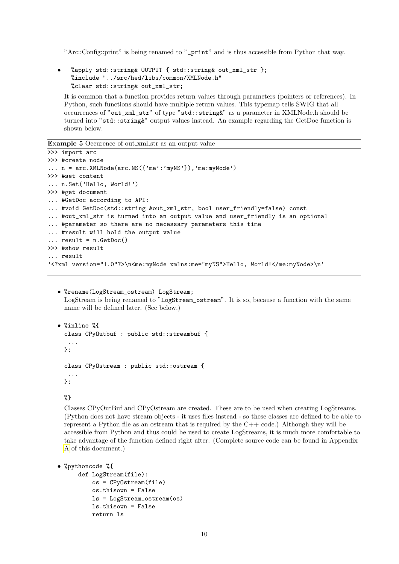"Arc::Config::print" is being renamed to "\_print" and is thus accessible from Python that way.

• %apply std::string& OUTPUT { std::string& out\_xml\_str }; %include "../src/hed/libs/common/XMLNode.h" %clear std::string& out\_xml\_str;

It is common that a function provides return values through parameters (pointers or references). In Python, such functions should have multiple return values. This typemap tells SWIG that all occurrences of "out\_xml\_str" of type "std::string&" as a parameter in XMLNode.h should be turned into "std::string&" output values instead. An example regarding the GetDoc function is shown below.

Example 5 Occurence of out\_xml\_str as an output value

```
>>> import arc
>>> #create node
\ldots n = arc.XMLNode(arc.NS({'me':'myNS'}),'me:myNode')
>>> #set content
... n.Set('Hello, World!')
>>> #get document
... #GetDoc according to API:
... #void GetDoc(std::string &out_xml_str, bool user_friendly=false) const
... #out_xml_str is turned into an output value and user_friendly is an optional
... #parameter so there are no necessary parameters this time
... #result will hold the output value
... result = n.GetDoc()
>>> #show result
... result
'<?xml version="1.0"?>\n<me:myNode xmlns:me="myNS">Hello, World!</me:myNode>\n'
```
• %rename(LogStream\_ostream) LogStream; LogStream is being renamed to "LogStream\_ostream". It is so, because a function with the same name will be defined later. (See below.)

```
• %inline %{
 class CPyOutbuf : public std::streambuf {
   ...
 };
 class CPyOstream : public std::ostream {
   ...
 \}:
```
%}

Classes CPyOutBuf and CPyOstream are created. These are to be used when creating LogStreams. (Python does not have stream objects - it uses files instead - so these classes are defined to be able to represent a Python file as an ostream that is required by the C++ code.) Although they will be accessible from Python and thus could be used to create LogStreams, it is much more comfortable to take advantage of the function defined right after. (Complete source code can be found in Appendix [A](#page-51-1) of this document.)

```
• %pythoncode %{
```

```
def LogStream(file):
    os = CPyOstream(file)
    os.thisown = False
    ls = LogStream_ostream(os)
    ls.thisown = False
    return ls
```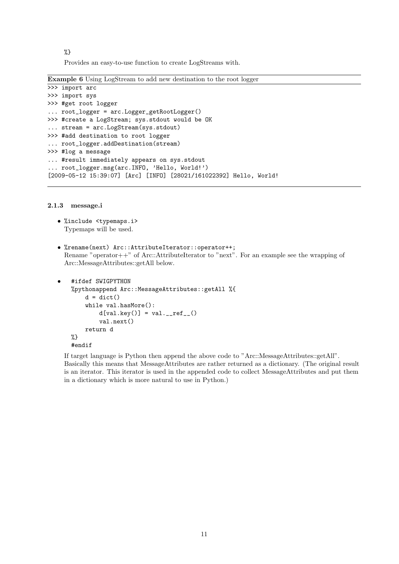%} Provides an easy-to-use function to create LogStreams with.

| <b>Example 6</b> Using LogStream to add new destination to the root logger |  |  |  |  |  |  |  |  |
|----------------------------------------------------------------------------|--|--|--|--|--|--|--|--|
|----------------------------------------------------------------------------|--|--|--|--|--|--|--|--|

```
>>> import arc
>>> import sys
>>> #get root logger
... root_logger = arc.Logger_getRootLogger()
>>> #create a LogStream; sys.stdout would be OK
... stream = arc.LogStream(sys.stdout)
>>> #add destination to root logger
... root_logger.addDestination(stream)
>>> #log a message
... #result immediately appears on sys.stdout
... root_logger.msg(arc.INFO, 'Hello, World!')
[2009-05-12 15:39:07] [Arc] [INFO] [28021/161022392] Hello, World!
```
#### <span id="page-11-0"></span>2.1.3 message.i

- %include <typemaps.i> Typemaps will be used.
- %rename(next) Arc::AttributeIterator::operator++; Rename "operator++" of Arc::AttributeIterator to "next". For an example see the wrapping of Arc::MessageAttributes::getAll below.

```
• #ifdef SWIGPYTHON
%pythonappend Arc::MessageAttributes::getAll %{
    d = dict()while val.hasMore():
        d[val.\text{key}()] = val._-ref_-()val.next()
    return d
%}
#endif
```
If target language is Python then append the above code to "Arc::MessageAttributes::getAll". Basically this means that MessageAttributes are rather returned as a dictionary. (The original result is an iterator. This iterator is used in the appended code to collect MessageAttributes and put them in a dictionary which is more natural to use in Python.)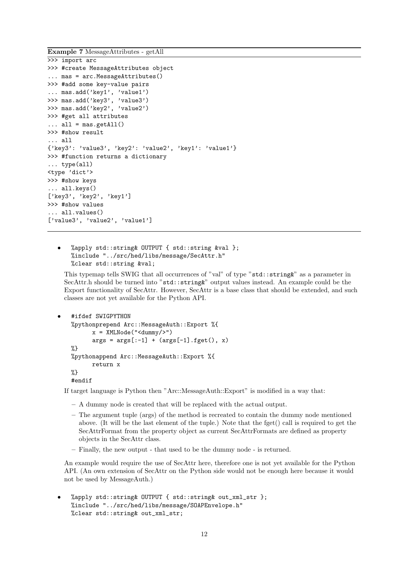Example 7 MessageAttributes - getAll

```
>>> import arc
>>> #create MessageAttributes object
... mas = arc.MessageAttributes()
>>> #add some key-value pairs
... mas.add('key1', 'value1')
>>> mas.add('key3', 'value3')
>>> mas.add('key2', 'value2')
>>> #get all attributes
\ldots all = mas.getAll()
>>> #show result
... all
{'key3': 'value3', 'key2': 'value2', 'key1': 'value1'}
>>> #function returns a dictionary
... type(all)
<type 'dict'>
>>> #show keys
... all.keys()
['key3', 'key2', 'key1']
>>> #show values
... all.values()
['value3', 'value2', 'value1']
```
• %apply std::string& OUTPUT { std::string &val }; %include "../src/hed/libs/message/SecAttr.h" %clear std::string &val;

This typemap tells SWIG that all occurrences of "val" of type "std::string &" as a parameter in SecAttr.h should be turned into "std::string&" output values instead. An example could be the Export functionality of SecAttr. However, SecAttr is a base class that should be extended, and such classes are not yet available for the Python API.

```
• #ifdef SWIGPYTHON
%pythonprepend Arc::MessageAuth::Export %{
      x = XMLNode("<dummy/>")
      args = args[-1] + (args[-1].fget(), x)%}
%pythonappend Arc::MessageAuth::Export %{
      return x
%}
#endif
```
If target language is Python then "Arc::MessageAuth::Export" is modified in a way that:

- A dummy node is created that will be replaced with the actual output.
- The argument tuple (args) of the method is recreated to contain the dummy node mentioned above. (It will be the last element of the tuple.) Note that the fget() call is required to get the SecAttrFormat from the property object as current SecAttrFormats are defined as property objects in the SecAttr class.
- Finally, the new output that used to be the dummy node is returned.

An example would require the use of SecAttr here, therefore one is not yet available for the Python API. (An own extension of SecAttr on the Python side would not be enough here because it would not be used by MessageAuth.)

• %apply std::string& OUTPUT { std::string& out\_xml\_str }; %include "../src/hed/libs/message/SOAPEnvelope.h" %clear std::string& out\_xml\_str;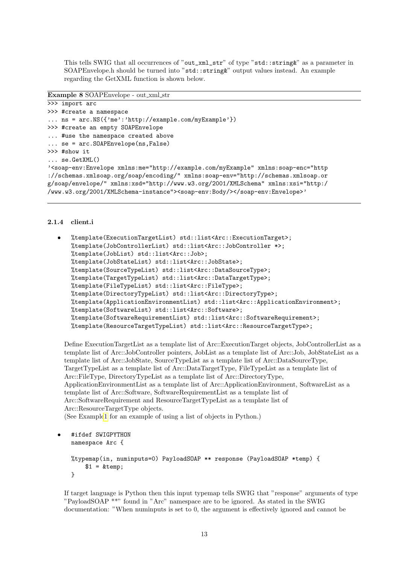This tells SWIG that all occurrences of "out\_xml\_str" of type "std::string&" as a parameter in SOAPEnvelope.h should be turned into "std::string&" output values instead. An example regarding the GetXML function is shown below.

#### Example 8 SOAPEnvelope - out xml str

```
>>> import arc
>>> #create a namespace
... ns = arc.NS({'me':'http://example.com/myExample'})
>>> #create an empty SOAPEnvelope
... #use the namespace created above
... se = arc.SOAPEnvelope(ns,False)
>>> #show it
... se.GetXML()
'<soap-env:Envelope xmlns:me="http://example.com/myExample" xmlns:soap-enc="http
://schemas.xmlsoap.org/soap/encoding/" xmlns:soap-env="http://schemas.xmlsoap.or
g/soap/envelope/" xmlns:xsd="http://www.w3.org/2001/XMLSchema" xmlns:xsi="http:/
/www.w3.org/2001/XMLSchema-instance"><soap-env:Body/></soap-env:Envelope>'
```
#### <span id="page-13-0"></span>2.1.4 client.i

```
• %template(ExecutionTargetList) std::list<Arc::ExecutionTarget>;
%template(JobControllerList) std::list<Arc::JobController *>;
%template(JobList) std::list<Arc::Job>;
%template(JobStateList) std::list<Arc::JobState>;
%template(SourceTypeList) std::list<Arc::DataSourceType>;
%template(TargetTypeList) std::list<Arc::DataTargetType>;
%template(FileTypeList) std::list<Arc::FileType>;
%template(DirectoryTypeList) std::list<Arc::DirectoryType>;
%template(ApplicationEnvironmentList) std::list<Arc::ApplicationEnvironment>;
%template(SoftwareList) std::list<Arc::Software>;
%template(SoftwareRequirementList) std::list<Arc::SoftwareRequirement>;
%template(ResourceTargetTypeList) std::list<Arc::ResourceTargetType>;
```
Define ExecutionTargetList as a template list of Arc::ExecutionTarget objects, JobControllerList as a template list of Arc::JobController pointers, JobList as a template list of Arc::Job, JobStateList as a template list of Arc::JobState, SourceTypeList as a template list of Arc::DataSourceType, TargetTypeList as a template list of Arc::DataTargetType, FileTypeList as a template list of Arc::FileType, DirectoryTypeList as a template list of Arc::DirectoryType, ApplicationEnvironmentList as a template list of Arc::ApplicationEnvironment, SoftwareList as a template list of Arc::Software, SoftwareRequirementList as a template list of Arc::SoftwareRequirement and ResourceTargetTypeList as a template list of Arc::ResourceTargetType objects. (See Exampl[e1](#page-6-0) for an example of using a list of objects in Python.)

```
• #ifdef SWIGPYTHON
namespace Arc {
%typemap(in, numinputs=0) PayloadSOAP ** response (PayloadSOAP *temp) {
    $1 = \&temp:
}
```
If target language is Python then this input typemap tells SWIG that "response" arguments of type "PayloadSOAP \*\*" found in "Arc" namespace are to be ignored. As stated in the SWIG documentation: "When numinputs is set to 0, the argument is effectively ignored and cannot be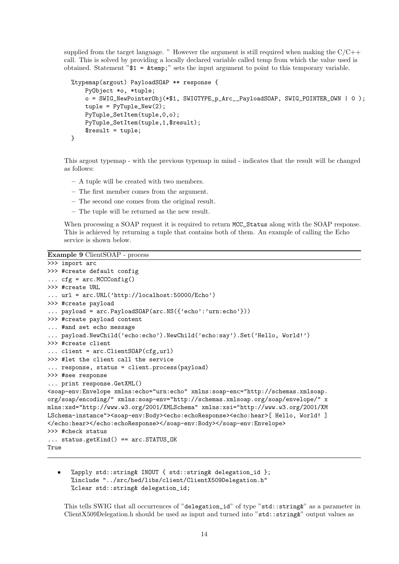supplied from the target language. "However the argument is still required when making the  $C/C++$ call. This is solved by providing a locally declared variable called temp from which the value used is obtained. Statement "\$1 = &temp;" sets the input argument to point to this temporary variable.

```
%typemap(argout) PayloadSOAP ** response {
    PyObject *o, *tuple;
    o = SWIG_NewPointerObj(*$1, SWIGTYPE_p_Arc__PayloadSOAP, SWIG_POINTER_OWN | 0 );
    tuple = PyTuple_New(2);
    PyTuple_SetItem(tuple,0,o);
    PyTuple_SetItem(tuple,1,$result);
    $result = tuple;
}
```
This argout typemap - with the previous typemap in mind - indicates that the result will be changed as follows:

- A tuple will be created with two members.
- The first member comes from the argument.
- The second one comes from the original result.
- The tuple will be returned as the new result.

When processing a SOAP request it is required to return MCC\_Status along with the SOAP response. This is achieved by returning a tuple that contains both of them. An example of calling the Echo service is shown below.

Example 9 ClientSOAP - process

```
>>> import arc
>>> #create default config
\ldots cfg = arc.MCCConfig()
>>> #create URL
... url = arc.URL('http://localhost:50000/Echo')
>>> #create payload
... payload = arc.PayloadSOAP(arc.NS({'echo':'urn:echo'}))
>>> #create payload content
... #and set echo message
... payload.NewChild('echo:echo').NewChild('echo:say').Set('Hello, World!')
>>> #create client
... client = arc.ClientSOAP(cfg,url)
>>> #let the client call the service
... response, status = client.process(payload)
>>> #see response
... print response.GetXML()
<soap-env:Envelope xmlns:echo="urn:echo" xmlns:soap-enc="http://schemas.xmlsoap.
org/soap/encoding/" xmlns:soap-env="http://schemas.xmlsoap.org/soap/envelope/" x
mlns:xsd="http://www.w3.org/2001/XMLSchema" xmlns:xsi="http://www.w3.org/2001/XM
LSchema-instance"><soap-env:Body><echo:echoResponse><echo:hear>[ Hello, World! ]
</echo:hear></echo:echoResponse></soap-env:Body></soap-env:Envelope>
>>> #check status
... status.getKind() == arc.STATUS_OK
True
```
• %apply std::string& INOUT { std::string& delegation\_id }; %include "../src/hed/libs/client/ClientX509Delegation.h" %clear std::string& delegation\_id;

This tells SWIG that all occurrences of "delegation\_id" of type "std::string&" as a parameter in ClientX509Delegation.h should be used as input and turned into "std::string&" output values as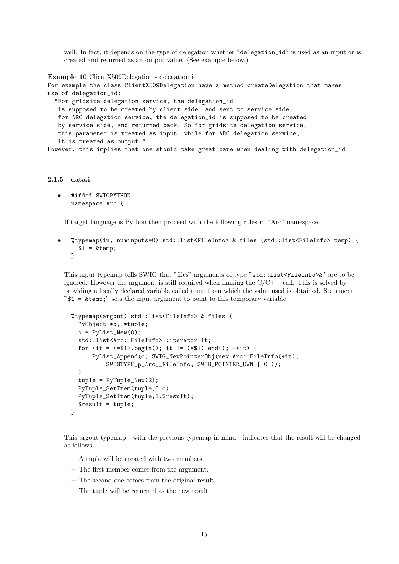well. In fact, it depends on the type of delegation whether "delegation<sub>id</sub>" is used as an input or is created and returned as an output value. (See example below.)

```
Example 10 ClientX509Delegation - delegation id
For example the class ClientX509Delegation have a method createDelegation that makes
use of delegation_id:
  "For gridsite delegation service, the delegation_id
   is supposed to be created by client side, and sent to service side;
   for ARC delegation service, the delegation_id is supposed to be created
   by service side, and returned back. So for gridsite delegation service,
   this parameter is treated as input, while for ARC delegation service,
   it is treated as output."
However, this implies that one should take great care when dealing with delegation_id.
```

```
2.1.5 data.i
```

```
• #ifdef SWIGPYTHON
namespace Arc {
```
If target language is Python then proceed with the following rules in "Arc" namespace.

• %typemap(in, numinputs=0) std::list<FileInfo> & files (std::list<FileInfo> temp) {  $$1 = \&$ temp; }

This input typemap tells SWIG that "files" arguments of type "std::list<FileInfo>&" are to be ignored. However the argument is still required when making the  $C/C++$  call. This is solved by providing a locally declared variable called temp from which the value used is obtained. Statement  $"\$  =  $\&$  temp;" sets the input argument to point to this temporary variable.

```
%typemap(argout) std::list<FileInfo> & files {
 PyObject *o, *tuple;
  o = PyListNew(0);std::list<Arc::FileInfo>::iterator it;
  for (it = (*1).begin(); it != (*1).end(); ++it) {
      PyList_Append(o, SWIG_NewPointerObj(new Arc::FileInfo(*it),
          SWIGTYPE_p_Arc__FileInfo, SWIG_POINTER_OWN | 0 ));
  }
  tuple = PyTuple\_New(2);PyTuple_SetItem(tuple,0,o);
  PyTuple_SetItem(tuple,1,$result);
  $result = tuple;
}
```
This argout typemap - with the previous typemap in mind - indicates that the result will be changed as follows:

- A tuple will be created with two members.
- The first member comes from the argument.
- The second one comes from the original result.
- The tuple will be returned as the new result.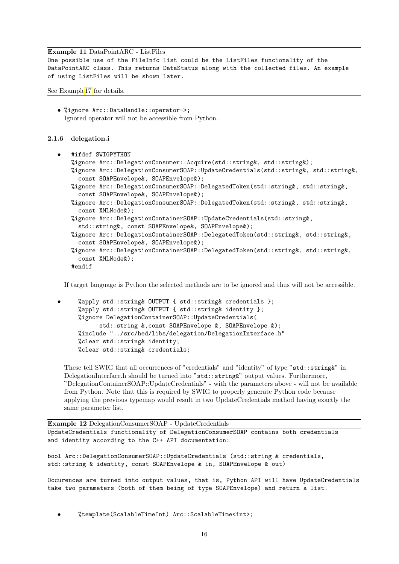#### Example 11 DataPointARC - ListFiles

One possible use of the FileInfo list could be the ListFiles funcionality of the DataPointARC class. This returns DataStatus along with the collected files. An example of using ListFiles will be shown later.

See Exampl[e17](#page-24-1) for details.

• %ignore Arc::DataHandle::operator->; Ignored operator will not be accessible from Python.

#### <span id="page-16-0"></span>2.1.6 delegation.i

```
• #ifdef SWIGPYTHON
%ignore Arc::DelegationConsumer::Acquire(std::string&, std::string&);
%ignore Arc::DelegationConsumerSOAP::UpdateCredentials(std::string&, std::string&,
  const SOAPEnvelope&, SOAPEnvelope&);
%ignore Arc::DelegationConsumerSOAP::DelegatedToken(std::string&, std::string&,
  const SOAPEnvelope&, SOAPEnvelope&);
%ignore Arc::DelegationConsumerSOAP::DelegatedToken(std::string&, std::string&,
  const XMLNode&);
%ignore Arc::DelegationContainerSOAP::UpdateCredentials(std::string&,
  std::string&, const SOAPEnvelope&, SOAPEnvelope&);
%ignore Arc::DelegationContainerSOAP::DelegatedToken(std::string&, std::string&,
  const SOAPEnvelope&, SOAPEnvelope&);
%ignore Arc::DelegationContainerSOAP::DelegatedToken(std::string&, std::string&,
  const XMLNode&);
#endif
```
If target language is Python the selected methods are to be ignored and thus will not be accessible.

```
• %apply std::string& OUTPUT { std::string& credentials };
%apply std::string& OUTPUT { std::string& identity };
%ignore DelegationContainerSOAP::UpdateCredentials(
      std::string &,const SOAPEnvelope &, SOAPEnvelope &);
%include "../src/hed/libs/delegation/DelegationInterface.h"
%clear std::string& identity;
%clear std::string& credentials;
```
These tell SWIG that all occurrences of "credentials" and "identity" of type "std::string&" in DelegationInterface.h should be turned into "std::string&" output values. Furthermore, "DelegationContainerSOAP::UpdateCredentials" - with the parameters above - will not be available from Python. Note that this is required by SWIG to properly generate Python code because applying the previous typemap would result in two UpdateCredentials method having exactly the same parameter list.

Example 12 DelegationConsumerSOAP - UpdateCredentials UpdateCredentials functionality of DelegationConsumerSOAP contains both credentials and identity according to the C++ API documentation:

bool Arc::DelegationConsumerSOAP::UpdateCredentials (std::string & credentials, std::string & identity, const SOAPEnvelope & in, SOAPEnvelope & out)

Occurences are turned into output values, that is, Python API will have UpdateCredentials take two parameters (both of them being of type SOAPEnvelope) and return a list.

• %template(ScalableTimeInt) Arc::ScalableTime<int>;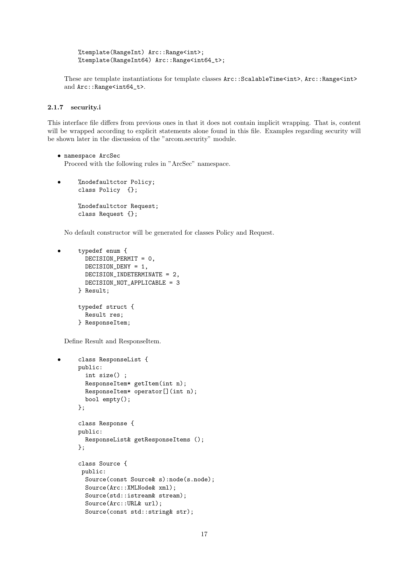%template(RangeInt) Arc::Range<int>; %template(RangeInt64) Arc::Range<int64\_t>;

These are template instantiations for template classes  $Arc::ScaledTime$ ,  $Arc::Range$ and Arc::Range<int64\_t>.

#### <span id="page-17-0"></span>2.1.7 security.i

This interface file differs from previous ones in that it does not contain implicit wrapping. That is, content will be wrapped according to explicit statements alone found in this file. Examples regarding security will be shown later in the discussion of the "arcom.security" module.

```
• namespace ArcSec
  Proceed with the following rules in "ArcSec" namespace.
```
• %nodefaultctor Policy; class Policy {}; %nodefaultctor Request; class Request {};

No default constructor will be generated for classes Policy and Request.

```
• typedef enum {
  DECISION_PERMIT = 0,
  DECISION_DENY = 1,
 DECISION_INDETERMINATE = 2,
 DECISION_NOT_APPLICABLE = 3
} Result;
typedef struct {
 Result res;
} ResponseItem;
```
Define Result and ResponseItem.

```
• class ResponseList {
public:
  int size() ;
  ResponseItem* getItem(int n);
  ResponseItem* operator[](int n);
  bool empty();
};
class Response {
public:
  ResponseList& getResponseItems ();
};
class Source {
 public:
  Source(const Source& s):node(s.node);
  Source(Arc::XMLNode& xml);
  Source(std::istream& stream);
  Source(Arc::URL& url);
  Source(const std::string& str);
```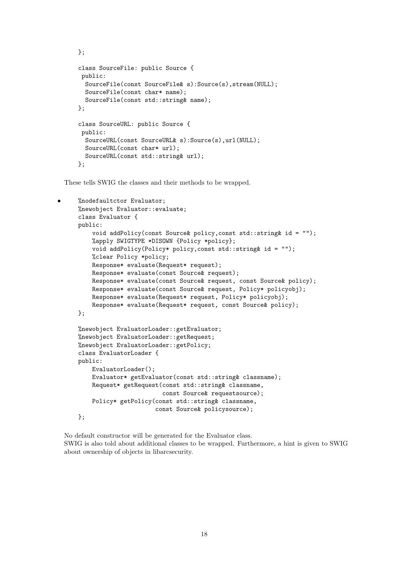```
};
class SourceFile: public Source {
 public:
  SourceFile(const SourceFile& s):Source(s),stream(NULL);
  SourceFile(const char* name);
  SourceFile(const std::string& name);
};
class SourceURL: public Source {
 public:
  SourceURL(const SourceURL& s):Source(s),url(NULL);
  SourceURL(const char* url);
  SourceURL(const std::string& url);
};
```
These tells SWIG the classes and their methods to be wrapped.

```
• %nodefaultctor Evaluator;
%newobject Evaluator::evaluate;
class Evaluator {
public:
    void addPolicy(const Source& policy,const std::string& id = "");
    %apply SWIGTYPE *DISOWN {Policy *policy};
    void addPolicy(Policy* policy,const std::string& id = "");
    %clear Policy *policy;
    Response* evaluate(Request* request);
    Response* evaluate(const Source& request);
    Response* evaluate(const Source& request, const Source& policy);
    Response* evaluate(const Source& request, Policy* policyobj);
    Response* evaluate(Request* request, Policy* policyobj);
    Response* evaluate(Request* request, const Source& policy);
};
%newobject EvaluatorLoader::getEvaluator;
%newobject EvaluatorLoader::getRequest;
%newobject EvaluatorLoader::getPolicy;
class EvaluatorLoader {
public:
    EvaluatorLoader();
    Evaluator* getEvaluator(const std::string& classname);
    Request* getRequest(const std::string& classname,
                        const Source& requestsource);
    Policy* getPolicy(const std::string& classname,
                      const Source& policysource);
};
```
No default constructor will be generated for the Evaluator class. SWIG is also told about additional classes to be wrapped. Furthermore, a hint is given to SWIG about ownership of objects in libarcsecurity.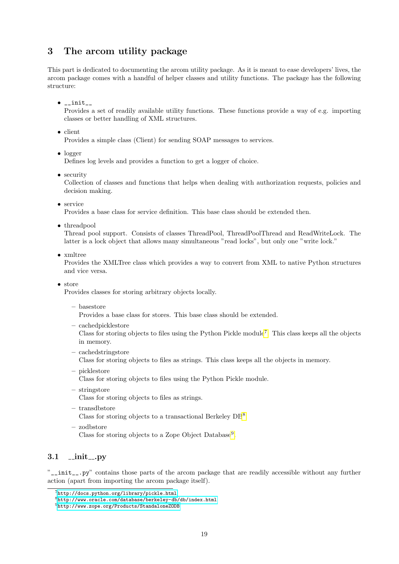## <span id="page-19-0"></span>3 The arcom utility package

This part is dedicated to documenting the arcom utility package. As it is meant to ease developers' lives, the arcom package comes with a handful of helper classes and utility functions. The package has the following structure:

 $\bullet$  \_init\_

Provides a set of readily available utility functions. These functions provide a way of e.g. importing classes or better handling of XML structures.

• client

Provides a simple class (Client) for sending SOAP messages to services.

• logger

Defines log levels and provides a function to get a logger of choice.

• security

Collection of classes and functions that helps when dealing with authorization requests, policies and decision making.

• service

Provides a base class for service definition. This base class should be extended then.

• threadpool

Thread pool support. Consists of classes ThreadPool, ThreadPoolThread and ReadWriteLock. The latter is a lock object that allows many simultaneous "read locks", but only one "write lock."

• xmltree

Provides the XMLTree class which provides a way to convert from XML to native Python structures and vice versa.

• store

Provides classes for storing arbitrary objects locally.

– basestore

Provides a base class for stores. This base class should be extended.

– cachedpicklestore

Class for storing objects to files using the Python Pickle module<sup>[7](#page-19-2)</sup>. This class keeps all the objects in memory.

– cachedstringstore

Class for storing objects to files as strings. This class keeps all the objects in memory.

– picklestore

Class for storing objects to files using the Python Pickle module.

– stringstore

Class for storing objects to files as strings.

– transdbstore

Class for storing objects to a transactional Berkeley DB<sup>[8](#page-19-3)</sup>.

– zodbstore Class for storing objects to a Zope Object Database<sup>[9](#page-19-4)</sup>.

## <span id="page-19-1"></span> $3.1 \quad \text{unit} \dots \text{py}$

"\_\_init\_\_.py" contains those parts of the arcom package that are readily accessible without any further action (apart from importing the arcom package itself).

<span id="page-19-2"></span><sup>7</sup><http://docs.python.org/library/pickle.html>

<span id="page-19-3"></span><sup>8</sup><http://www.oracle.com/database/berkeley-db/db/index.html>

<span id="page-19-4"></span><sup>9</sup><http://www.zope.org/Products/StandaloneZODB>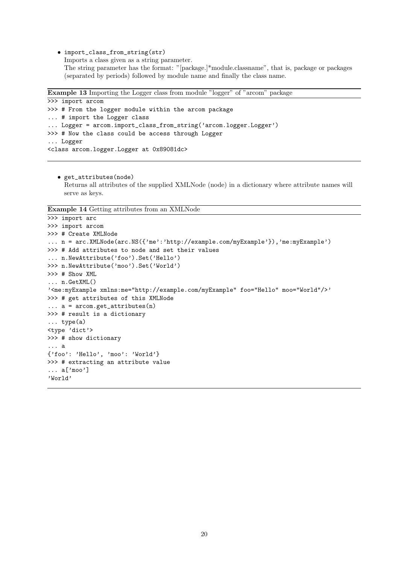• import\_class\_from\_string(str) Imports a class given as a string parameter. The string parameter has the format: "[package.]\*module.classname", that is, package or packages (separated by periods) followed by module name and finally the class name.

```
Example 13 Importing the Logger class from module "logger" of "arcom" package
```

```
>>> import arcom
>>> # From the logger module within the arcom package
... # import the Logger class
... Logger = arcom.import_class_from_string('arcom.logger.Logger')
>>> # Now the class could be access through Logger
... Logger
<class arcom.logger.Logger at 0x89081dc>
```
• get\_attributes(node) Returns all attributes of the supplied XMLNode (node) in a dictionary where attribute names will serve as keys.

Example 14 Getting attributes from an XMLNode

```
>>> import arc
>>> import arcom
>>> # Create XMLNode
... n = arc.XMLNode(arc.NS({'me':'http://example.com/myExample'}),'me:myExample')
>>> # Add attributes to node and set their values
... n.NewAttribute('foo').Set('Hello')
>>> n.NewAttribute('moo').Set('World')
>>> # Show XML
... n.GetXML()
'<me:myExample xmlns:me="http://example.com/myExample" foo="Hello" moo="World"/>'
>>> # get attributes of this XMLNode
\ldots a = arcom.get_attributes(n)
>>> # result is a dictionary
... type(a)
<type 'dict'>
>>> # show dictionary
... a
{'foo': 'Hello', 'moo': 'World'}
>>> # extracting an attribute value
... a['moo']
'World'
```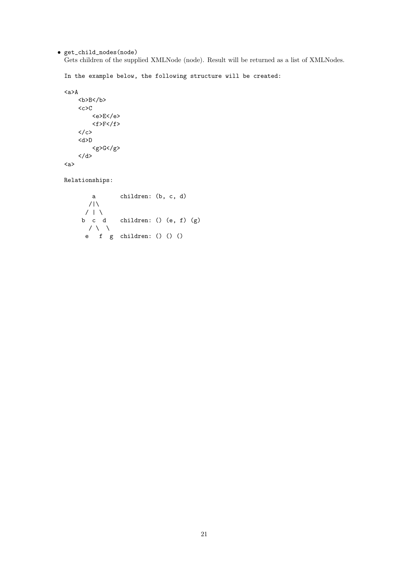• get\_child\_nodes(node)

Gets children of the supplied XMLNode (node). Result will be returned as a list of XMLNodes.

In the example below, the following structure will be created:

```
<a>A
       \langle c \rangle C<e>E</e>
               <f>F</f>
       \langle c \rangle<d>D
               \langle g \rangle G \langle g \rangle\langle d \rangle<a>
```
Relationships:

a children: (b, c, d)  $/|\lambda|$  $/$  |  $\setminus$ b c d children: () (e, f) (g)  $\prime \wedge \vee$ e f g children: () () ()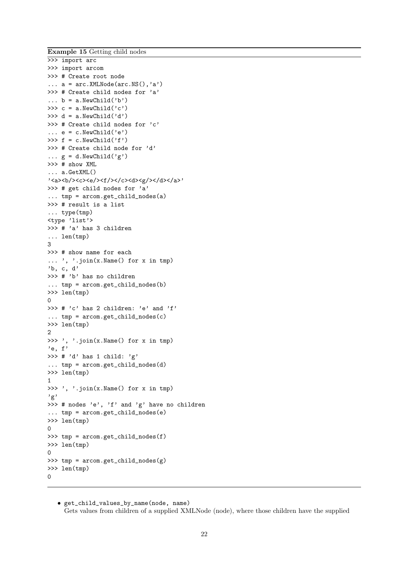Example 15 Getting child nodes

```
>>> import arc
>>> import arcom
>>> # Create root node
\ldots a = arc. XMLNode(arc. NS(),'a')
>>> # Create child nodes for 'a'
\ldots b = a. NewChild('b')
>>> c = a.NewChild('c')>>> d = a.NewChild('d')>>> # Create child nodes for 'c'
\ldots e = c.NewChild('e')
>>> f = c.NewChild('f')>>> # Create child node for 'd'
\ldots g = d. NewChild('g')
>>> # show XML
... a.GetXML()
'<a><b/>></b/><<<br/>e/><f/>><f/c><d><d></d></d></a<'
>>> # get child nodes for 'a'
... tmp = arcom.get_child_nodes(a)
>>> # result is a list
... type(tmp)
<type 'list'>
>>> # 'a' has 3 children
... len(tmp)
3
>>> # show name for each
... ', '.join(x.Name() for x in tmp)
'b, c, d'
>>> # 'b' has no children
... tmp = arcom.get_child_nodes(b)
>>> len(tmp)
\Omega>>> # 'c' has 2 children: 'e' and 'f'
... tmp = arcom.get_child_nodes(c)
>>> len(tmp)
2
>>> ', '.join(x.Name() for x in tmp)
'e, f'
>>> # 'd' has 1 child: 'g'
\ldots tmp = arcom.get_child_nodes(d)
>>> len(tmp)
1
>>> ', '.join(x.Name() for x in tmp)
'g'
>>> # nodes 'e', 'f' and 'g' have no children
... tmp = arcom.get_child_nodes(e)
>>> len(tmp)
\Omega>>> tmp = arcom.get_child_nodes(f)
>>> len(tmp)
\Omega>>> tmp = \text{arcom.get}_child\_nodes(g)>>> len(tmp)
\Omega
```
• get\_child\_values\_by\_name(node, name) Gets values from children of a supplied XMLNode (node), where those children have the supplied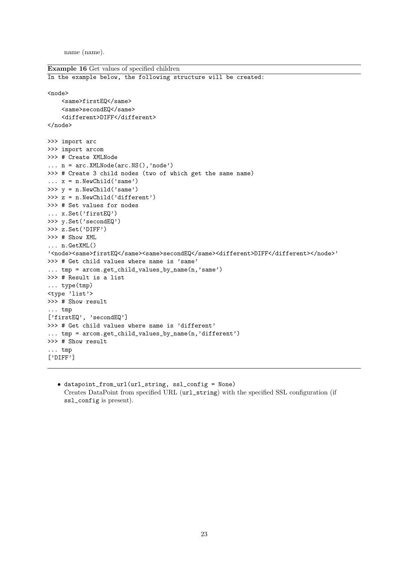name (name).

```
Example 16 Get values of specified children
In the example below, the following structure will be created:
<node>
    <same>firstEQ</same>
    <same>secondEQ</same>
    <different>DIFF</different>
</node>
>>> import arc
>>> import arcom
>>> # Create XMLNode
\ldots n = arc.XMLNode(arc.NS(),'node')
>>> # Create 3 child nodes (two of which get the same name)
\ldots x = n.NewChild('same')
>>> y = n.NewChild('same')>>> z = n.NewChild('different')
>>> # Set values for nodes
... x.Set('firstEQ')
>>> y.Set('secondEQ')
>>> z.Set('DIFF')
>>> # Show XML
... n.GetXML()
'<node><same>firstEQ</same><same>secondEQ</same><different>DIFF</different></node>'
>>> # Get child values where name is 'same'
... tmp = arcom.get_child_values_by_name(n,'same')
>>> # Result is a list
... type(tmp)
<type 'list'>
>>> # Show result
... tmp
['firstEQ', 'secondEQ']
>>> # Get child values where name is 'different'
... tmp = arcom.get_child_values_by_name(n,'different')
>>> # Show result
... tmp
['DIFF']
```
• datapoint\_from\_url(url\_string, ssl\_config = None) Creates DataPoint from specified URL (url\_string) with the specified SSL configuration (if ssl\_config is present).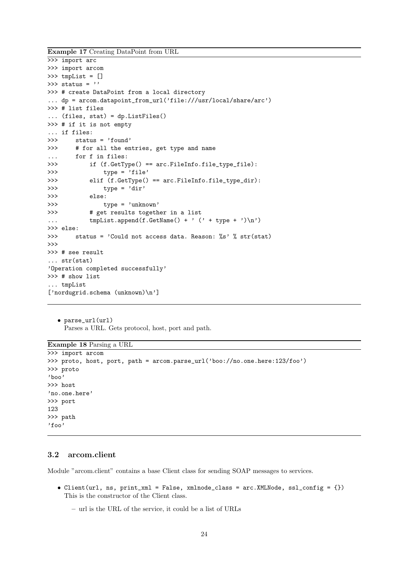Example 17 Creating DataPoint from URL

```
>>> import arc
>>> import arcom
>>> tmpList = []
\gg status = ''
>>> # create DataPoint from a local directory
... dp = arcom.datapoint_from_url('file:///usr/local/share/arc')
>>> # list files
... (files, stat) = dp.ListFiles()
>>> # if it is not empty
... if files:
>>> status = 'found'
>>> # for all the entries, get type and name
... for f in files:
>>> if (f.GetType() == arc.FileInfo.file_type_file):
>>> type = 'file'
>>> elif (f.GetType() == arc.FileInfo.file_type_dir):
>>> type = 'dir'>>> else:
>>> type = 'unknown'
>>> # get results together in a list
... \text{tmpList.append}(f.GetName() + ' (' + type + ')\n')>>> else:
>>> status = 'Could not access data. Reason: %s' % str(stat)
>>>
>>> # see result
... str(stat)
'Operation completed successfully'
>>> # show list
... tmpList
['nordugrid.schema (unknown)\n']
```

```
• parse_url(url)
  Parses a URL. Gets protocol, host, port and path.
```
Example 18 Parsing a URL

```
>>> import arcom
>>> proto, host, port, path = arcom.parse_url('boo://no.one.here:123/foo')
>>> proto
'boo'
>>> host
'no.one.here'
>>> port
123
>>> path
'foo'
```
### <span id="page-24-0"></span>3.2 arcom.client

Module "arcom.client" contains a base Client class for sending SOAP messages to services.

- Client(url, ns, print\_xml = False, xmlnode\_class = arc.XMLNode, ssl\_config =  $\{\}$ ) This is the constructor of the Client class.
	- url is the URL of the service, it could be a list of URLs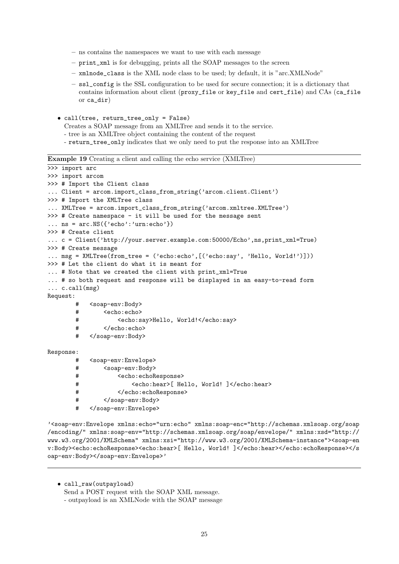- ns contains the namespaces we want to use with each message
- print\_xml is for debugging, prints all the SOAP messages to the screen
- $-$  xmlnode class is the XML node class to be used; by default, it is "arc.XMLNode"
- ssl\_config is the SSL configuration to be used for secure connection; it is a dictionary that contains information about client (proxy\_file or key\_file and cert\_file) and CAs (ca\_file or ca\_dir)
- call(tree, return\_tree\_only = False)
	- Creates a SOAP message from an XMLTree and sends it to the service.
	- tree is an XMLTree object containing the content of the request
	- return\_tree\_only indicates that we only need to put the response into an XMLTree

Example 19 Creating a client and calling the echo service (XMLTree)

```
>>> import arc
>>> import arcom
>>> # Import the Client class
... Client = arcom.import_class_from_string('arcom.client.Client')
>>> # Import the XMLTree class
... XMLTree = arcom.import_class_from_string('arcom.xmltree.XMLTree')
>>> # Create namespace - it will be used for the message sent
... ns = arc.NS({'echo': 'urn:echo'})>>> # Create client
... c = Client('http://your.server.example.com:50000/Echo',ns,print_xml=True)
>>> # Create message
... msg = XMLTree(from_tree = ('echo:echo',[('echo:say', 'Hello, World!')]))
>>> # Let the client do what it is meant for
... # Note that we created the client with print_xml=True
... # so both request and response will be displayed in an easy-to-read form
... c.call(msg)
Request:
       # <soap-env:Body>
       # <echo:echo>
       # <echo:say>Hello, World!</echo:say>
               </echo:echo>
       # </soap-env:Body>
Response:
       # <soap-env:Envelope>
       # <soap-env:Body>
       # <echo:echoResponse>
       # <echo:hear>[ Hello, World! ]</echo:hear>
       # </echo:echoResponse>
       # </soap-env:Body>
       # </soap-env:Envelope>
```
'<soap-env:Envelope xmlns:echo="urn:echo" xmlns:soap-enc="http://schemas.xmlsoap.org/soap /encoding/" xmlns:soap-env="http://schemas.xmlsoap.org/soap/envelope/" xmlns:xsd="http:// www.w3.org/2001/XMLSchema" xmlns:xsi="http://www.w3.org/2001/XMLSchema-instance"><soap-en v:Body><echo:echoResponse><echo:hear>[ Hello, World! ]</echo:hear></echo:echoResponse></s oap-env:Body></soap-env:Envelope>'

• call\_raw(outpayload) Send a POST request with the SOAP XML message. - outpayload is an XMLNode with the SOAP message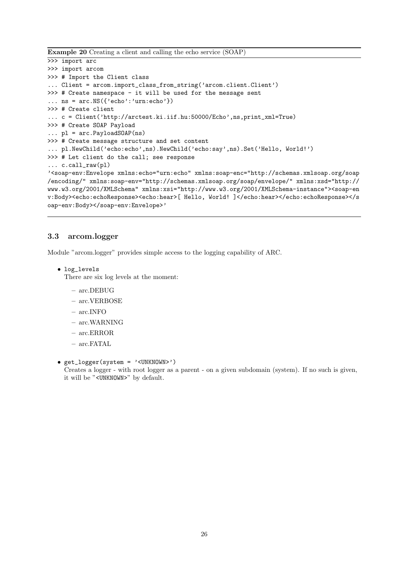Example 20 Creating a client and calling the echo service (SOAP)

```
>>> import arc
>>> import arcom
>>> # Import the Client class
... Client = arcom.import_class_from_string('arcom.client.Client')
>>> # Create namespace - it will be used for the message sent
... ns = arc.NS({'echo': 'urn:echo'}>>> # Create client
... c = Client('http://arctest.ki.iif.hu:50000/Echo',ns,print_xml=True)
>>> # Create SOAP Payload
\ldots pl = arc. PayloadSOAP(ns)
>>> # Create message structure and set content
... pl.NewChild('echo:echo',ns).NewChild('echo:say',ns).Set('Hello, World!')
>>> # Let client do the call; see response
... c.call_raw(pl)
'<soap-env:Envelope xmlns:echo="urn:echo" xmlns:soap-enc="http://schemas.xmlsoap.org/soap
/encoding/" xmlns:soap-env="http://schemas.xmlsoap.org/soap/envelope/" xmlns:xsd="http://
www.w3.org/2001/XMLSchema" xmlns:xsi="http://www.w3.org/2001/XMLSchema-instance"><soap-en
v:Body><echo:echoResponse><echo:hear>[ Hello, World! ]</echo:hear></echo:echoResponse></s
oap-env:Body></soap-env:Envelope>'
```
### <span id="page-26-0"></span>3.3 arcom.logger

Module "arcom.logger" provides simple access to the logging capability of ARC.

• log\_levels

There are six log levels at the moment:

- arc.DEBUG
- arc.VERBOSE
- arc.INFO
- arc.WARNING
- arc.ERROR
- arc.FATAL
- get\_logger(system = '<UNKNOWN>')

Creates a logger - with root logger as a parent - on a given subdomain (system). If no such is given, it will be "<UNKNOWN>" by default.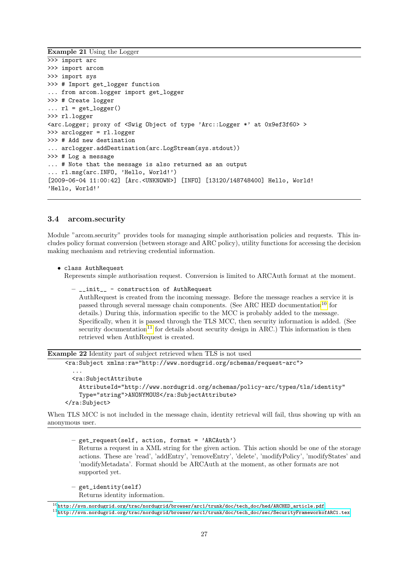Example 21 Using the Logger

```
>>> import arc
>>> import arcom
>>> import sys
>>> # Import get_logger function
... from arcom.logger import get_logger
>>> # Create logger
\ldots rl = get_logger()
>>> rl.logger
<arc.Logger; proxy of <Swig Object of type 'Arc::Logger *' at 0x9ef3f60> >
>>> arclogger = rl.logger
>>> # Add new destination
... arclogger.addDestination(arc.LogStream(sys.stdout))
>>> # Log a message
... # Note that the message is also returned as an output
... rl.msg(arc.INFO, 'Hello, World!')
[2009-06-04 11:00:42] [Arc.<UNKNOWN>] [INFO] [13120/148748400] Hello, World!
'Hello, World!'
```
#### <span id="page-27-0"></span>3.4 arcom.security

Module "arcom.security" provides tools for managing simple authorisation policies and requests. This includes policy format conversion (between storage and ARC policy), utility functions for accessing the decision making mechanism and retrieving credential information.

```
• class AuthRequest
```
Represents simple authorisation request. Conversion is limited to ARCAuth format at the moment.

```
– __init__ - construction of AuthRequest
 AuthRequest is created from the incoming message. Before the message reaches a service it is
 10</sup> for
 details.) During this, information specific to the MCC is probably added to the message.
 Specifically, when it is passed through the TLS MCC, then security information is added. (See
 11</sup> for details about security design in ARC.) This information is then
 retrieved when AuthRequest is created.
```
Example 22 Identity part of subject retrieved when TLS is not used

```
<ra:Subject xmlns:ra="http://www.nordugrid.org/schemas/request-arc">
```

```
...
 <ra:SubjectAttribute
   AttributeId="http://www.nordugrid.org/schemas/policy-arc/types/tls/identity"
   Type="string">ANONYMOUS</ra:SubjectAttribute>
</ra:Subject>
```
When TLS MCC is not included in the message chain, identity retrieval will fail, thus showing up with an anonymous user.

```
– get_request(self, action, format = 'ARCAuth')
  Returns a request in a XML string for the given action. This action should be one of the storage
  actions. These are 'read', 'addEntry', 'removeEntry', 'delete', 'modifyPolicy', 'modifyStates' and
  'modifyMetadata'. Format should be ARCAuth at the moment, as other formats are not
  supported yet.
```

```
– get_identity(self)
  Returns identity information.
```
<span id="page-27-2"></span><span id="page-27-1"></span> $10$ [http://svn.nordugrid.org/trac/nordugrid/browser/arc1/trunk/doc/tech\\_doc/hed/ARCHED\\_article.pdf](http://svn.nordugrid.org/trac/nordugrid/browser/arc1/trunk/doc/tech_doc/hed/ARCHED_article.pdf) <sup>11</sup>[http://svn.nordugrid.org/trac/nordugrid/browser/arc1/trunk/doc/tech\\_doc/sec/SecurityFrameworkofARC1.tex](http://svn.nordugrid.org/trac/nordugrid/browser/arc1/trunk/doc/tech_doc/sec/SecurityFrameworkofARC1.tex)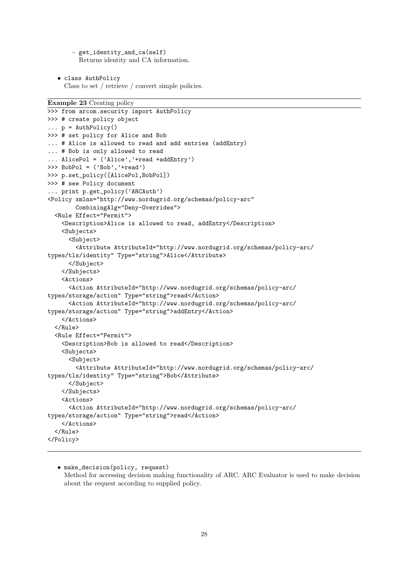– get\_identity\_and\_ca(self) Returns identity and CA information.

• class AuthPolicy Class to set / retrieve / convert simple policies.

```
Example 23 Creating policy
```

```
>>> from arcom.security import AuthPolicy
>>> # create policy object
\ldots p = AuthPolicy()
>>> # set policy for Alice and Bob
... # Alice is allowed to read and add entries (addEntry)
... # Bob is only allowed to read
... AlicePol = ('Alice','+read +addEntry')
>>> BobPol = ('Bob','+read')
>>> p.set_policy([AlicePol,BobPol])
>>> # see Policy document
... print p.get_policy('ARCAuth')
<Policy xmlns="http://www.nordugrid.org/schemas/policy-arc"
        CombiningAlg="Deny-Overrides">
  <Rule Effect="Permit">
    <Description>Alice is allowed to read, addEntry</Description>
    <Subjects>
      <Subject>
        <Attribute AttributeId="http://www.nordugrid.org/schemas/policy-arc/
types/tls/identity" Type="string">Alice</Attribute>
      </Subject>
    </Subjects>
    <Actions>
      <Action AttributeId="http://www.nordugrid.org/schemas/policy-arc/
types/storage/action" Type="string">read</Action>
      <Action AttributeId="http://www.nordugrid.org/schemas/policy-arc/
types/storage/action" Type="string">addEntry</Action>
    </Actions>
  \langle/Rule>
  <Rule Effect="Permit">
    <Description>Bob is allowed to read</Description>
    <Subjects>
      <Subject>
        <Attribute AttributeId="http://www.nordugrid.org/schemas/policy-arc/
types/tls/identity" Type="string">Bob</Attribute>
      </Subject>
    </Subjects>
    <Actions>
      <Action AttributeId="http://www.nordugrid.org/schemas/policy-arc/
types/storage/action" Type="string">read</Action>
    </Actions>
  </Rule>
</Policy>
```

```
• make_decision(policy, request)
  Method for accessing decision making functionality of ARC. ARC Evaluator is used to make decision
  about the request according to supplied policy.
```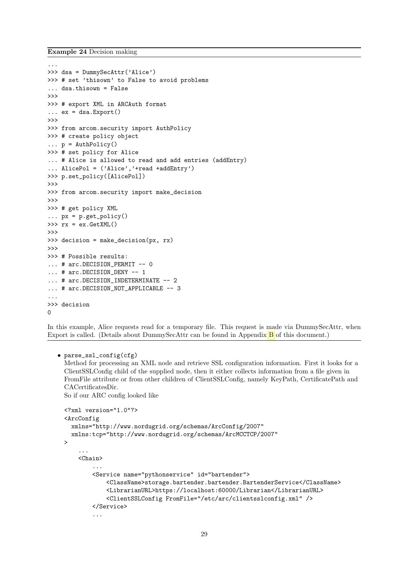Example 24 Decision making

```
...
>>> dsa = DummySecAttr('Alice')
>>> # set 'thisown' to False to avoid problems
... dsa.thisown = False
>>>
>>> # export XML in ARCAuth format
\ldots ex = dsa. Export()
>>>
>>> from arcom.security import AuthPolicy
>>> # create policy object
\ldots p = AuthPolicy()
>>> # set policy for Alice
... # Alice is allowed to read and add entries (addEntry)
... AlicePol = ('Alice','+read +addEntry')
>>> p.set_policy([AlicePol])
>>>
>>> from arcom.security import make_decision
>>>
>>> # get policy XML
\ldots px = p.get_policy()
\gg rx = ex.GetXML()>>>
>>> decision = make_decision(px, rx)
>>>
>>> # Possible results:
... # arc.DECISION_PERMIT -- 0
... # arc.DECISION_DENY -- 1
... # arc.DECISION INDETERMINATE -- 2
... # arc.DECISION_NOT_APPLICABLE -- 3
...
>>> decision
\Omega
```
In this example, Alice requests read for a temporary file. This request is made via DummySecAttr, when Export is called. (Details about DummySecAttr can be found in Appendix [B](#page-51-2) of this document.)

#### • parse\_ssl\_config(cfg)

Method for processing an XML node and retrieve SSL configuration information. First it looks for a ClientSSLConfig child of the supplied node, then it either collects information from a file given in FromFile attribute or from other children of ClientSSLConfig, namely KeyPath, CertificatePath and CACertificatesDir.

So if our ARC config looked like

```
<?xml version="1.0"?>
<ArcConfig
 xmlns="http://www.nordugrid.org/schemas/ArcConfig/2007"
  xmlns:tcp="http://www.nordugrid.org/schemas/ArcMCCTCP/2007"
>
    ...
    <Chain>
        ...
        <Service name="pythonservice" id="bartender">
            <ClassName>storage.bartender.bartender.BartenderService</ClassName>
            <LibrarianURL>https://localhost:60000/Librarian</LibrarianURL>
            <ClientSSLConfig FromFile="/etc/arc/clientsslconfig.xml" />
        </Service>
        ...
```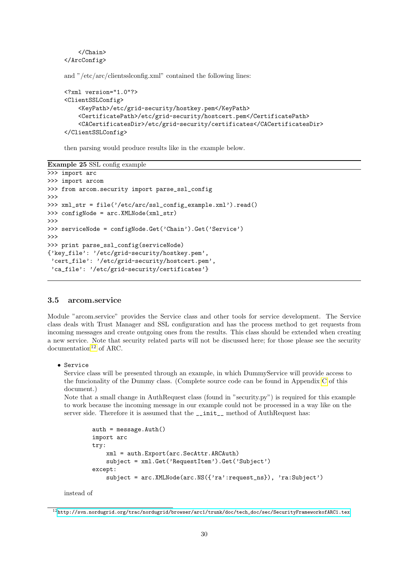```
</Chain>
</ArcConfig>
```
and "/etc/arc/clientsslconfig.xml" contained the following lines:

```
<?xml version="1.0"?>
<ClientSSLConfig>
    <KeyPath>/etc/grid-security/hostkey.pem</KeyPath>
    <CertificatePath>/etc/grid-security/hostcert.pem</CertificatePath>
    <CACertificatesDir>/etc/grid-security/certificates</CACertificatesDir>
</ClientSSLConfig>
```
then parsing would produce results like in the example below.

Example 25 SSL config example

```
>>> import arc
>>> import arcom
>>> from arcom.security import parse_ssl_config
>>>
>>> xml_str = file('/etc/arc/ssl_config_example.xml').read()
>>> configNode = arc.XMLNode(xml_str)
>>>
>>> serviceNode = configNode.Get('Chain').Get('Service')
>>>
>>> print parse_ssl_config(serviceNode)
{'key_file': '/etc/grid-security/hostkey.pem',
 'cert_file': '/etc/grid-security/hostcert.pem',
 'ca_file': '/etc/grid-security/certificates'}
```
#### <span id="page-30-0"></span>3.5 arcom.service

Module "arcom.service" provides the Service class and other tools for service development. The Service class deals with Trust Manager and SSL configuration and has the process method to get requests from incoming messages and create outgoing ones from the results. This class should be extended when creating a new service. Note that security related parts will not be discussed here; for those please see the security  $documentation<sup>12</sup>$  $documentation<sup>12</sup>$  $documentation<sup>12</sup>$  of ARC.

• Service

Service class will be presented through an example, in which DummyService will provide access to the funcionality of the Dummy class. (Complete source code can be found in Appendix [C](#page-52-0) of this document.)

Note that a small change in AuthRequest class (found in "security.py") is required for this example to work because the incoming message in our example could not be processed in a way like on the server side. Therefore it is assumed that the \_\_init\_\_ method of AuthRequest has:

```
auth = message.Auth()
import arc
try:
    xml = auth.Export(arc.SecAttr.ARCAuth)
    subject = xml.Get('RequestItem').Get('Subject')
except:
    subject = arc.XMLNode(arc.NS({'ra':request_ns}), 'ra:Subject')
```
instead of

<span id="page-30-1"></span> $12$ [http://svn.nordugrid.org/trac/nordugrid/browser/arc1/trunk/doc/tech\\_doc/sec/SecurityFrameworkofARC1.tex](http://svn.nordugrid.org/trac/nordugrid/browser/arc1/trunk/doc/tech_doc/sec/SecurityFrameworkofARC1.tex)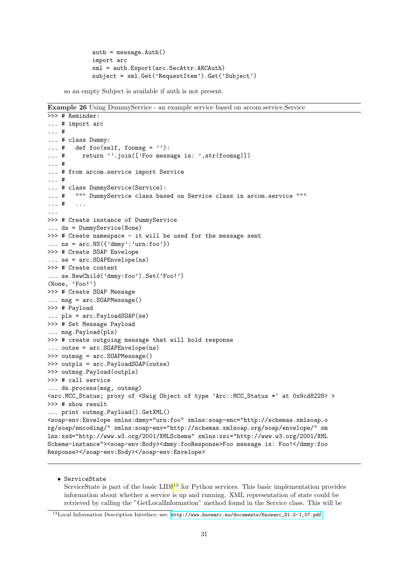```
auth = message.Auth()
import arc
xml = auth.Export(arc.SecAttr.ARCAuth)
subject = xml.Get('RequestItem').Get('Subject')
```
so an empty Subject is available if auth is not present.

Example 26 Using DummyService - an example service based on arcom.service.Service

```
>>> # Reminder:
... # import arc
... #
... # class Dummy:
\ldots # def foo(self, foomsg = ''):
... # return ''.join(['Foo message is: ',str(foomsg)])
... #
... # from arcom.service import Service
... #
... # class DummyService(Service):
... # """ DummyService class based on Service class in arcom.service """
... # ...
...
>>> # Create instance of DummyService
... ds = DummyService(None)
>>> # Create namespace - it will be used for the message sent
... ns = arc.NS({'dmmy':'urn:foo'}>>> # Create SOAP Envelope
... se = arc.SOAPEnvelope(ns)
>>> # Create content
... se.NewChild('dmmy:foo').Set('Foo!')
(None, 'Foo!')
>>> # Create SOAP Message
... msg = arc.SOAPMessage()
>>> # Payload
... pls = arc.PayloadSOAP(se)
>>> # Set Message Payload
... msg.Payload(pls)
>>> # create outgoing message that will hold response
... outse = arc.SOAPEnvelope(ns)
>>> outmsg = arc.SOAPMessage()
>>> outpls = arc.PayloadSOAP(outse)
>>> outmsg.Payload(outpls)
>>> # call service
... ds.process(msg, outmsg)
<arc.MCC_Status; proxy of <Swig Object of type 'Arc::MCC_Status *' at 0x9cd8228> >
>>> # show result
... print outmsg.Payload().GetXML()
<soap-env:Envelope xmlns:dmmy="urn:foo" xmlns:soap-enc="http://schemas.xmlsoap.o
rg/soap/encoding/" xmlns:soap-env="http://schemas.xmlsoap.org/soap/envelope/" xm
lns:xsd="http://www.w3.org/2001/XMLSchema" xmlns:xsi="http://www.w3.org/2001/XML
Schema-instance"><soap-env:Body><dmmy:fooResponse>Foo message is: Foo!</dmmy:foo
Response></soap-env:Body></soap-env:Envelope>
```
### • ServiceState

ServiceState is part of the basic  $LDI<sup>13</sup>$  $LDI<sup>13</sup>$  $LDI<sup>13</sup>$  for Python services. This basic implementation provides information about whether a service is up and running. XML representation of state could be retrieved by calling the "GetLocalInformation" method found in the Service class. This will be

<span id="page-31-0"></span><sup>13</sup>Local Information Description Interface; see: [http://www.knowarc.eu/documents/Knowarc\\_D1.2-1\\_07.pdf](http://www.knowarc.eu/documents/Knowarc_D1.2-1_07.pdf)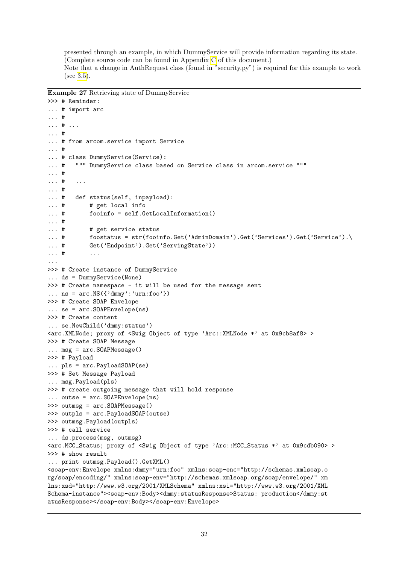presented through an example, in which DummyService will provide information regarding its state. (Complete source code can be found in Appendix [C](#page-52-0) of this document.) Note that a change in AuthRequest class (found in "security.py") is required for this example to work (see [3.5\)](#page-30-0).

Example 27 Retrieving state of DummyService

```
>>> # Reminder:
... # import arc
... #
... # ...
... #
... # from arcom.service import Service
... #
... # class DummyService(Service):
... # """ DummyService class based on Service class in arcom.service """
... #
... # ...
... #
... # def status(self, inpayload):
... # # get local info
... # fooinfo = self.GetLocalInformation()
... #
... # # get service status
... \# foostatus = str(fooinfo.Get('AdminDomain').Get('Services').Get('Service').
... # Get('Endpoint').Get('ServingState'))
... # ...
...
>>> # Create instance of DummyService
... ds = DummyService(None)
>>> # Create namespace - it will be used for the message sent
... ns = arc.NS({'dmmy':'urn:foo'}})>>> # Create SOAP Envelope
... se = arc.SOAPEnvelope(ns)
>>> # Create content
... se.NewChild('dmmy:status')
<arc.XMLNode; proxy of <Swig Object of type 'Arc::XMLNode *' at 0x9cb8af8> >
>>> # Create SOAP Message
... msg = arc.SOAPMessage()
>>> # Payload
... pls = arc.PayloadSOAP(se)
>>> # Set Message Payload
... msg.Payload(pls)
>>> # create outgoing message that will hold response
... outse = arc.SOAPEnvelope(ns)
>>> outmsg = arc.SOAPMessage()
>>> outpls = arc.PayloadSOAP(outse)
>>> outmsg.Payload(outpls)
>>> # call service
... ds.process(msg, outmsg)
<arc.MCC_Status; proxy of <Swig Object of type 'Arc::MCC_Status *' at 0x9cdb090> >
>>> # show result
... print outmsg.Payload().GetXML()
<soap-env:Envelope xmlns:dmmy="urn:foo" xmlns:soap-enc="http://schemas.xmlsoap.o
rg/soap/encoding/" xmlns:soap-env="http://schemas.xmlsoap.org/soap/envelope/" xm
lns:xsd="http://www.w3.org/2001/XMLSchema" xmlns:xsi="http://www.w3.org/2001/XML
Schema-instance"><soap-env:Body><dmmy:statusResponse>Status: production</dmmy:st
atusResponse></soap-env:Body></soap-env:Envelope>
```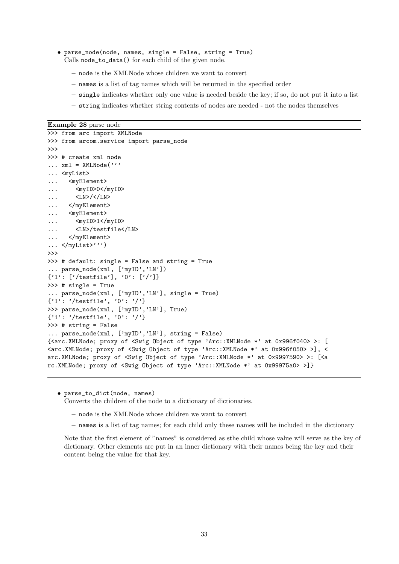- parse\_node(node, names, single = False, string = True) Calls node\_to\_data() for each child of the given node.
	- node is the XMLNode whose children we want to convert
	- names is a list of tag names which will be returned in the specified order
	- single indicates whether only one value is needed beside the key; if so, do not put it into a list
	- string indicates whether string contents of nodes are needed not the nodes themselves

Example 28 parse\_node

```
>>> from arc import XMLNode
>>> from arcom.service import parse_node
>>>
>>> # create xml node
\dots xml = XMLNode('''
... <myList>
... <myElement>
\ldots \langle myID>0</myID>
... <LN>/</LN>
... </myElement>
... <myElement>
... <myID>1</myID>
... <LN>/testfile</LN>
... </myElement>
... </myList>''')
>>>
>>> # default: single = False and string = True
... parse_node(xml, ['myID','LN'])
{'1': ['/testfile'], '0': ['/']}
>>> # single = True
... parse_node(xml, ['myID','LN'], single = True)
{'1': '/testfile', '0': '/'}
>>> parse_node(xml, ['myID','LN'], True)
\{ '1': '|\text{testfile}', '0': '/\}>>> # string = False
... parse_node(xml, ['myID','LN'], string = False)
{<arc.XMLNode; proxy of <Swig Object of type 'Arc::XMLNode *' at 0x996f040> >: [
<arc.XMLNode; proxy of <Swig Object of type 'Arc::XMLNode *' at 0x996f050> >], <
arc.XMLNode; proxy of <Swig Object of type 'Arc::XMLNode *' at 0x9997590> >: [<a
rc.XMLNode; proxy of <Swig Object of type 'Arc::XMLNode *' at 0x99975a0> >]}
```
• parse\_to\_dict(node, names) Converts the children of the node to a dictionary of dictionaries.

- node is the XMLNode whose children we want to convert
- names is a list of tag names; for each child only these names will be included in the dictionary

Note that the first element of "names" is considered as sthe child whose value will serve as the key of dictionary. Other elements are put in an inner dictionary with their names being the key and their content being the value for that key.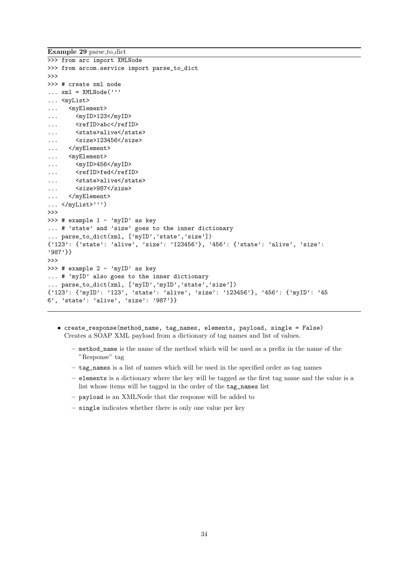```
Example 29 parse to dict
>>> from arc import XMLNode
>>> from arcom.service import parse_to_dict
>>>
>>> # create xml node
\ldots xml = XMLNode('''
... <myList>
... <myElement>
... <myID>123</myID>
... <refID>abc</refID>
... <state>alive</state>
... <size>123456</size>
... </myElement>
... <myElement>
... <myID>456</myID>
... <refID>fed</refID>
... <state>alive</state>
... <size>987</size>
... </myElement>
... </myList>''')
>>>
>>> # example 1 - 'myID' as key
... # 'state' and 'size' goes to the inner dictionary
... parse_to_dict(xml, ['myID','state','size'])
{'123': {'state': 'alive', 'size': '123456'}, '456': {'state': 'alive', 'size':
'987'}}
>>>
\gg # example 2 - 'myID' as key
... # 'myID' also goes to the inner dictionary
 ... parse_to_dict(xml, ['myID','myID','state','size'])
{'123': {'myID': '123', 'state': 'alive', 'size': '123456'}, '456': {'myID': '45
6', 'state': 'alive', 'size': '987'}}
```
- create\_response(method\_name, tag\_names, elements, payload, single = False) Creates a SOAP XML payload from a dictionary of tag names and list of values.
	- method\_name is the name of the method which will be used as a prefix in the name of the "Response" tag
	- tag\_names is a list of names which will be used in the specified order as tag names
	- elements is a dictionary where the key will be tagged as the first tag name and the value is a list whose items will be tagged in the order of the tag\_names list
	- payload is an XMLNode that the response will be added to
	- single indicates whether there is only one value per key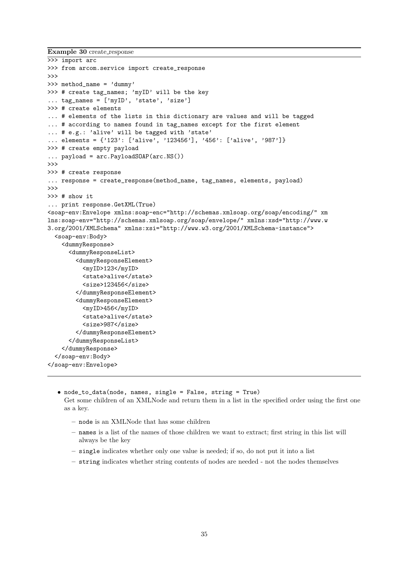Example 30 create response

```
>>> import arc
>>> from arcom.service import create_response
>>>
>>> method_name = 'dummy'
>>> # create tag_names; 'myID' will be the key
... tag_names = ['myID', 'state', 'size']
>>> # create elements
... # elements of the lists in this dictionary are values and will be tagged
... # according to names found in tag_names except for the first element
... # e.g.: 'alive' will be tagged with 'state'
... elements = {'123': ['alive', '123456'], '456': ['alive', '987']}
>>> # create empty payload
... payload = arc.PayloadSOAP(arc.NS())
\rightarrow>>> # create response
... response = create_response(method_name, tag_names, elements, payload)
>>>
>>> # show it
... print response.GetXML(True)
<soap-env:Envelope xmlns:soap-enc="http://schemas.xmlsoap.org/soap/encoding/" xm
lns:soap-env="http://schemas.xmlsoap.org/soap/envelope/" xmlns:xsd="http://www.w
3.org/2001/XMLSchema" xmlns:xsi="http://www.w3.org/2001/XMLSchema-instance">
  <soap-env:Body>
    <dummyResponse>
      <dummyResponseList>
        <dummyResponseElement>
          <myID>123</myID>
          <state>alive</state>
          <size>123456</size>
        </dummyResponseElement>
        <dummyResponseElement>
          <myID>456</myID>
          <state>alive</state>
          <size>987</size>
        </dummyResponseElement>
      </dummyResponseList>
    </dummyResponse>
  </soap-env:Body>
</soap-env:Envelope>
```
• node\_to\_data(node, names, single = False, string = True) Get some children of an XMLNode and return them in a list in the specified order using the first one as a key.

- node is an XMLNode that has some children
- names is a list of the names of those children we want to extract; first string in this list will always be the key
- single indicates whether only one value is needed; if so, do not put it into a list
- string indicates whether string contents of nodes are needed not the nodes themselves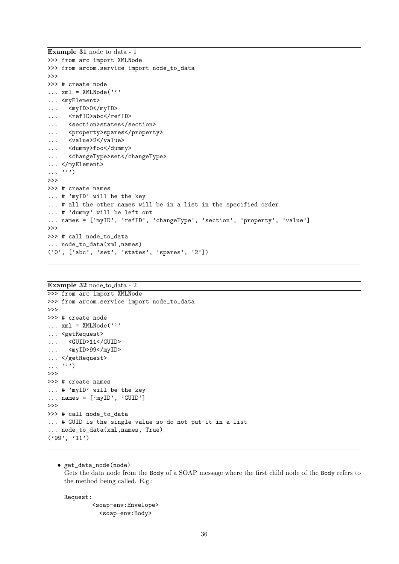```
Example 31 node_to_data - 1
>>> from arc import XMLNode
>>> from arcom.service import node_to_data
>>>
>>> # create node
\ldots xml = XMLNode('''
... <myElement>
... <myID>0</myID>
... <refID>abc</refID>
... <section>states</section>
... <property>spares</property>
... <value>2</value>
... <dummy>foo</dummy>
... <changeType>set</changeType>
... </myElement>
\ldots'')
>>>
>>> # create names
... # 'myID' will be the key
... # all the other names will be in a list in the specified order
... # 'dummy' will be left out
... names = ['myID', 'refID', 'changeType', 'section', 'property', 'value']
>>>
>>> # call node_to_data
... node_to_data(xml,names)
('0', ['abc', 'set', 'states', 'spares', '2'])
```
Example 32 node to data - 2

```
>>> from arc import XMLNode
>>> from arcom.service import node_to_data
>>>
>>> # create node
\dots xml = XMLNode('''
... <getRequest>
... <GUID>11</GUID>
... <myID>99</myID>
... </getRequest>
\ldots, \sum_{i=1}^{n}>>>
>>> # create names
... # 'myID' will be the key
... names = ['myID', 'GUID']>>>
>>> # call node_to_data
... # GUID is the single value so do not put it in a list
... node_to_data(xml,names, True)
('99', '11')
```
• get\_data\_node(node) Gets the data node from the Body of a SOAP message where the first child node of the Body refers to the method being called. E.g.:

Request:

<soap-env:Envelope> <soap-env:Body>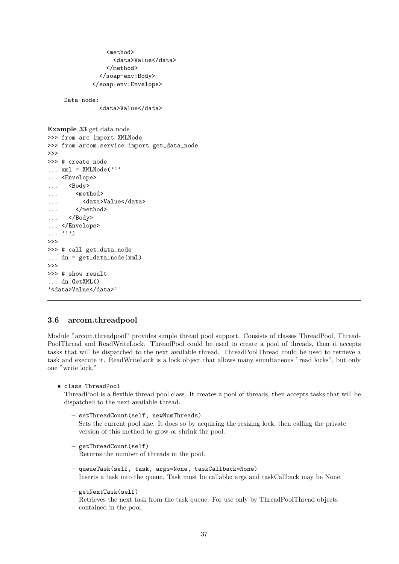<method> <data>Value</data> </method> </soap-env:Body> </soap-env:Envelope>

Data node:

<data>Value</data>

<span id="page-37-0"></span>Example 33 get<sub>-data-node</sub> >>> from arc import XMLNode >>> from arcom.service import get\_data\_node >>> >>> # create node  $\ldots$  xml = XMLNode( $'$ '' ... <Envelope> ... <Body> ... <method> ... <data>Value</data> ... </method> ... </Body> ... </Envelope>  $\ldots$ ''') >>> >>> # call get\_data\_node  $\ldots$  dn = get\_data\_node(xml) >>> >>> # show result ... dn.GetXML() '<data>Value</data>'

### <span id="page-37-1"></span>3.6 arcom.threadpool

Module "arcom.threadpool" provides simple thread pool support. Consists of classes ThreadPool, Thread-PoolThread and ReadWriteLock. ThreadPool could be used to create a pool of threads, then it accepts tasks that will be dispatched to the next available thread. ThreadPoolThread could be used to retrieve a task and execute it. ReadWriteLock is a lock object that allows many simultaneous "read locks", but only one "write lock."

• class ThreadPool

ThreadPool is a flexible thread pool class. It creates a pool of threads, then accepts tasks that will be dispatched to the next available thread.

– setThreadCount(self, newNumThreads)

Sets the current pool size. It does so by acquiring the resizing lock, then calling the private version of this method to grow or shrink the pool.

- getThreadCount(self) Returns the number of threads in the pool.
- queueTask(self, task, args=None, taskCallback=None) Inserts a task into the queue. Task must be callable; args and taskCallback may be None.
- getNextTask(self)

Retrieves the next task from the task queue. For use only by ThreadPoolThread objects contained in the pool.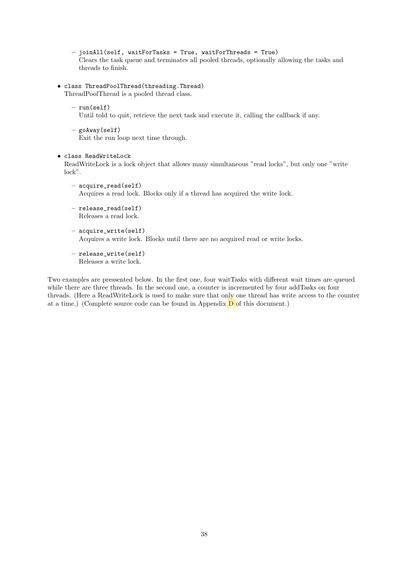- joinAll(self, waitForTasks = True, waitForThreads = True) Clears the task queue and terminates all pooled threads, optionally allowing the tasks and threads to finish.
- class ThreadPoolThread(threading.Thread) ThreadPoolThread is a pooled thread class.
	- run(self) Until told to quit, retrieve the next task and execute it, calling the callback if any.
	- goAway(self) Exit the run loop next time through.

#### • class ReadWriteLock

ReadWriteLock is a lock object that allows many simultaneous "read locks", but only one "write lock".

- acquire\_read(self) Acquires a read lock. Blocks only if a thread has acquired the write lock.
- release\_read(self) Releases a read lock.
- acquire\_write(self) Acquires a write lock. Blocks until there are no acquired read or write locks.
- release\_write(self) Releases a write lock.

Two examples are pressented below. In the first one, four waitTasks with different wait times are queued while there are three threads. In the second one, a counter is incremented by four addTasks on four threads. (Here a ReadWriteLock is used to make sure that only one thread has write access to the counter at a time.) (Complete source code can be found in Appendix [D](#page-53-0) of this document.)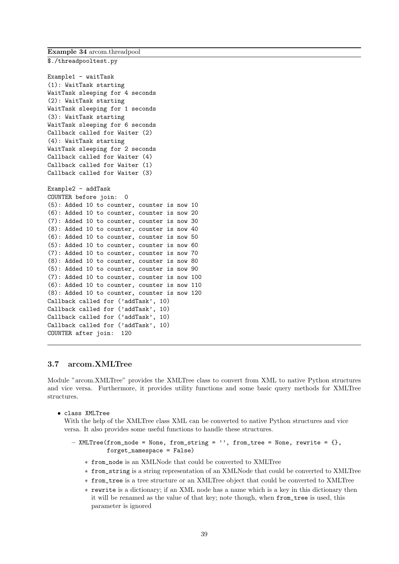Example 34 arcom.threadpool

<span id="page-39-0"></span>\$./threadpooltest.py

```
Example1 - waitTask
(1): WaitTask starting
WaitTask sleeping for 4 seconds
(2): WaitTask starting
WaitTask sleeping for 1 seconds
(3): WaitTask starting
WaitTask sleeping for 6 seconds
Callback called for Waiter (2)
(4): WaitTask starting
WaitTask sleeping for 2 seconds
Callback called for Waiter (4)
Callback called for Waiter (1)
Callback called for Waiter (3)
Example2 - addTask
COUNTER before join: 0
(5): Added 10 to counter, counter is now 10
(6): Added 10 to counter, counter is now 20
(7): Added 10 to counter, counter is now 30
(8): Added 10 to counter, counter is now 40
(6): Added 10 to counter, counter is now 50
(5): Added 10 to counter, counter is now 60
(7): Added 10 to counter, counter is now 70
(8): Added 10 to counter, counter is now 80
(5): Added 10 to counter, counter is now 90
(7): Added 10 to counter, counter is now 100
(6): Added 10 to counter, counter is now 110
(8): Added 10 to counter, counter is now 120
Callback called for ('addTask', 10)
Callback called for ('addTask', 10)
Callback called for ('addTask', 10)
Callback called for ('addTask', 10)
COUNTER after join: 120
```
#### <span id="page-39-1"></span>3.7 arcom.XMLTree

Module "arcom.XMLTree" provides the XMLTree class to convert from XML to native Python structures and vice versa. Furthermore, it provides utility functions and some basic query methods for XMLTree structures.

• class XMLTree

With the help of the XMLTree class XML can be converted to native Python structures and vice versa. It also provides some useful functions to handle these structures.

```
- XMLTree(from_node = None, from_string = '', from_tree = None, rewrite = {},
          forget_namespace = False)
```
- ∗ from\_node is an XMLNode that could be converted to XMLTree
- ∗ from\_string is a string representation of an XMLNode that could be converted to XMLTree
- ∗ from\_tree is a tree structure or an XMLTree object that could be converted to XMLTree
- ∗ rewrite is a dictionary; if an XML node has a name which is a key in this dictionary then it will be renamed as the value of that key; note though, when from\_tree is used, this parameter is ignored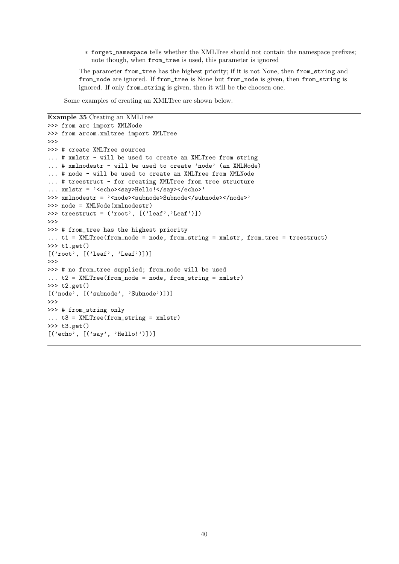∗ forget\_namespace tells whether the XMLTree should not contain the namespace prefixes; note though, when from\_tree is used, this parameter is ignored

The parameter from tree has the highest priority; if it is not None, then from string and from\_node are ignored. If from\_tree is None but from\_node is given, then from\_string is ignored. If only from\_string is given, then it will be the choosen one.

Some examples of creating an XMLTree are shown below.

Example 35 Creating an XMLTree

```
>>> from arc import XMLNode
>>> from arcom.xmltree import XMLTree
>>>
>>> # create XMLTree sources
... # xmlstr - will be used to create an XMLTree from string
... # xmlnodestr - will be used to create 'node' (an XMLNode)
... # node - will be used to create an XMLTree from XMLNode
... # treestruct - for creating XMLTree from tree structure
... xmlstr = '<echo><say>Hello!</say></echo>'
>>> xmlnodestr = '<node><subnode>Subnode</subnode></node>'
>>> node = XMLNode(xmlnodestr)
>>> treestruct = ('root', [('leaf','Leaf')])
>>>
>>> # from_tree has the highest priority
... t1 = XMLTree(from_node = node, from_string = xmlstr, from_tree = treestruct)
>>> t1.get()
[(\cdot;\text{root}, \ldots, \ldots, \cdot]>>>
>>> # no from_tree supplied; from_node will be used
... t2 = XMLTree(from_node = node, from_string = xmlstr)
>> t2.get()[('node', [('subnode', 'Subnode')])]
>>>
>>> # from_string only
... t3 = XMLTree(from_string = xmlstr)
>>> t3.get()
[('echo', [('say', 'Hello!')])]
```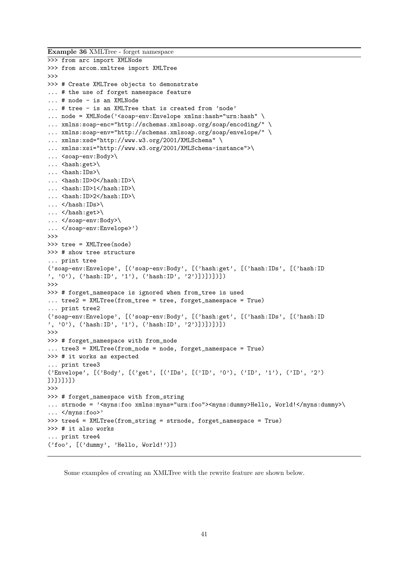Example 36 XMLTree - forget namespace

```
>>> from arc import XMLNode
>>> from arcom.xmltree import XMLTree
>>>
>>> # Create XMLTree objects to demonstrate
... # the use of forget namespace feature
... # node - is an XMLNode
... # tree - is an XMLTree that is created from 'node'
... node = XMLNode('<soap-env:Envelope xmlns:hash="urn:hash" \
... xmlns:soap-enc="http://schemas.xmlsoap.org/soap/encoding/" \
... xmlns:soap-env="http://schemas.xmlsoap.org/soap/envelope/" \
... xmlns:xsd="http://www.w3.org/2001/XMLSchema" \
... xmlns:xsi="http://www.w3.org/2001/XMLSchema-instance">\
... <soap-env:Body>\
... <hash:get>\
... <hash:IDs>\
... <hash:ID>0</hash:ID>\
... \langle hash:ID>1</math>... <hash:ID>2</hash:ID>\
\ldots </hash:IDs>\
\ldots </hash:get>\
... </soap-env:Body>\
... </soap-env:Envelope>')
>>>
>>> tree = XMLTree(node)
>>> # show tree structure
... print tree
('soap-env:Envelope', [('soap-env:Body', [('hash:get', [('hash:IDs', [('hash:ID
', '0'), ('hash:ID', '1'), ('hash:ID', '2')])])])])
>>>
>>> # forget_namespace is ignored when from_tree is used
... tree2 = XMLTree(from_tree = tree, forget_namespace = True)
... print tree2
('soap-env:Envelope', [('soap-env:Body', [('hash:get', [('hash:IDs', [('hash:ID
', '0'), ('hash:ID', '1'), ('hash:ID', '2')])])])])])
>>>
>>> # forget_namespace with from_node
... tree3 = XMLTree(from_node = node, forget_namespace = True)
>>> # it works as expected
... print tree3
('Envelope', [('Body', [('get', [('IDs', [('ID', '0'), ('ID', '1'), ('ID', '2')
])])])])
>>>
>>> # forget_namespace with from_string
... strnode = '<myns:foo xmlns:myns="urn:foo"><myns:dummy>Hello, World!</myns:dummy>\
... </myns:foo>'
>>> tree4 = XMLTree(from_string = strnode, forget_namespace = True)
>>> # it also works
... print tree4
('foo', [('dummy', 'Hello, World!')])
```
Some examples of creating an XMLTree with the rewrite feature are shown below.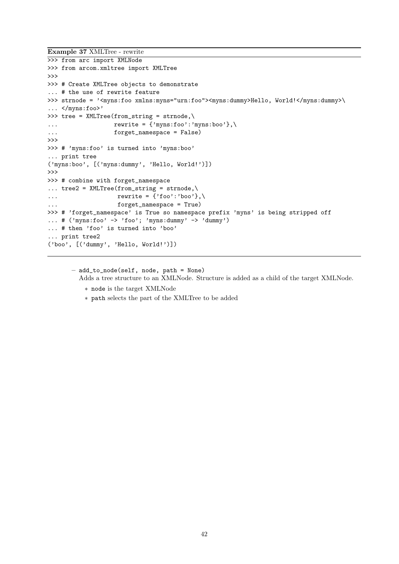```
Example 37 XMLTree - rewrite
```

```
>>> from arc import XMLNode
>>> from arcom.xmltree import XMLTree
>>>
>>> # Create XMLTree objects to demonstrate
... # the use of rewrite feature
>>> strnode = '<myns:foo xmlns:myns="urn:foo"><myns:dummy>Hello, World!</myns:dummy>\
\ldots </myns:foo>'
>>> tree = XMLTree(from_string = strnode,\
... \qquad \qquad \text{rewrite} = \{ 'myns:foo' : 'myns:boo' \}, \langle... forget_namespace = False)
>>>
>>> # 'myns:foo' is turned into 'myns:boo'
... print tree
('myns:boo', [('myns:dummy', 'Hello, World!')])
>>>
>>> # combine with forget_namespace
\ldots tree2 = XMLTree(from_string = strnode,\
... \qquad \qquad \text{rewrite} = \{ 'foo' : 'boo' \}, \}... forget_namespace = True)
>>> # 'forget_namespace' is True so namespace prefix 'myns' is being stripped off
... # ('myns:foo' -> 'foo'; 'myns:dummy' -> 'dummy')
... # then 'foo' is turned into 'boo'
... print tree2
('boo', [('dummy', 'Hello, World!')])
```
– add\_to\_node(self, node, path = None) Adds a tree structure to an XMLNode. Structure is added as a child of the target XMLNode.

- ∗ node is the target XMLNode
- ∗ path selects the part of the XMLTree to be added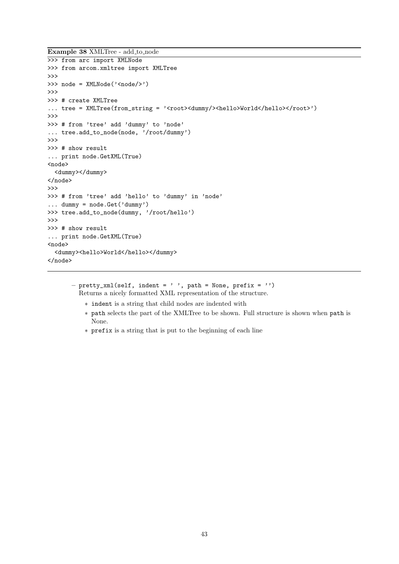```
Example 38 XMLTree - add to node
```

```
>>> from arc import XMLNode
>>> from arcom.xmltree import XMLTree
>>>
>>> node = XMLNode('<node/>')
>>>
>>> # create XMLTree
... tree = XMLTree(from_string = '<root><dummy/>>>>><hello>World</hello></root>')
>>>
>>> # from 'tree' add 'dummy' to 'node'
... tree.add_to_node(node, '/root/dummy')
>>>
>>> # show result
... print node.GetXML(True)
<node>
  <dummy></dummy>
</node>
>>>
>>> # from 'tree' add 'hello' to 'dummy' in 'node'
... dummy = node.Get('dummy')
>>> tree.add_to_node(dummy, '/root/hello')
>>>
>>> # show result
... print node.GetXML(True)
<node>
  <dummy><hello>World</hello></dummy>
</node>
```
 $-$  pretty\_xml(self, indent = ' ', path = None, prefix = '') Returns a nicely formatted XML representation of the structure.

- ∗ indent is a string that child nodes are indented with
- ∗ path selects the part of the XMLTree to be shown. Full structure is shown when path is None.
- ∗ prefix is a string that is put to the beginning of each line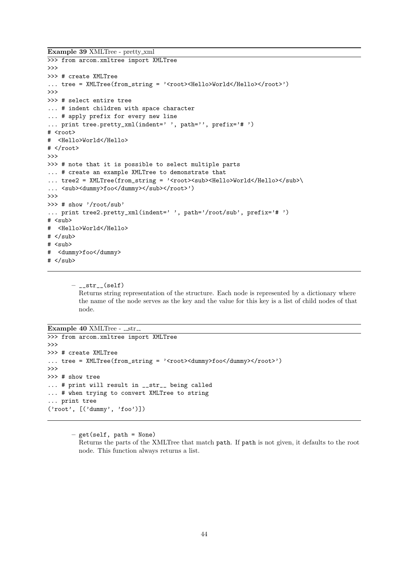Example 39 XMLTree - pretty xml

```
>>> from arcom.xmltree import XMLTree
>>>
>>> # create XMLTree
... tree = XMLTree(from_string = '<root><Hello>World</Hello></root>')
>>>
>>> # select entire tree
... # indent children with space character
... # apply prefix for every new line
... print tree.pretty_xml(indent=' ', path='', prefix='# ')
# <root>
# <Hello>World</Hello>
# </root>
>>>
>>> # note that it is possible to select multiple parts
... # create an example XMLTree to demonstrate that
... tree2 = XMLTree(from_string = '<root><sub><Hello>World</Hello></sub>\
... \langle \text{sub}\rangle \langle \text{dummy}\ranglefoo\langle \text{dummy}\rangle \langle \text{sub}\rangle \langle \text{root}\rangle')
\rightarrow>>> # show '/root/sub'
... print tree2.pretty_xml(indent=' ', path='/root/sub', prefix='# ')
# \langle sub \rangle# <Hello>World</Hello>
# </sub>
# <sub>sub</sub></sub>
# <dummy>foo</dummy>
# </sub>
```
 $-$ <sub>--</sub>str<sub>--</sub>(self) Returns string representation of the structure. Each node is represented by a dictionary where the name of the node serves as the key and the value for this key is a list of child nodes of that node.

```
Example 40 XMLTree - __str_
```

```
>>> from arcom.xmltree import XMLTree
>>>
>>> # create XMLTree
... tree = XMLTree(from\_string = '<root><d>dummy>foot/dummy><r/root>'</math>)>>>
>>> # show tree
... # print will result in __str__ being called
... # when trying to convert XMLTree to string
... print tree
('root', [('dummy', 'foo')])
```
– get(self, path = None)

Returns the parts of the XMLTree that match path. If path is not given, it defaults to the root node. This function always returns a list.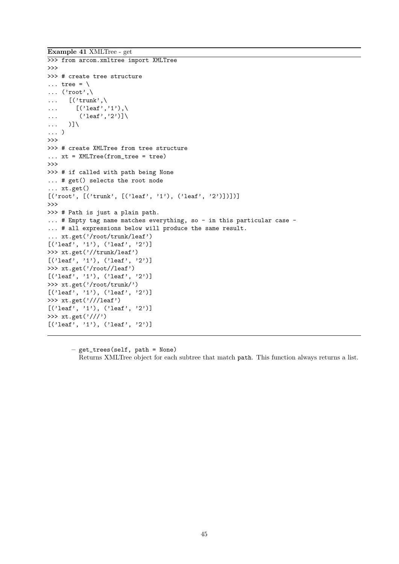Example 41 XMLTree - get

```
>>> from arcom.xmltree import XMLTree
>>>
>>> # create tree structure
\ldots tree = \setminus\ldots ('root',\
\ldots [('trunk',\
\ldots [('leaf','1'),\
\dots ('leaf','2')]
... )]\
... )
>>>
>>> # create XMLTree from tree structure
\dots xt = XMLTree(from_tree = tree)
>>>
>>> # if called with path being None
... # get() selects the root node
... xt.get()
[\texttt{('root', [('trunk', [('leaf', '1'), ('leaf', '2')]])]}]>>>
>>> # Path is just a plain path.
... # Empty tag name matches everything, so - in this particular case -
... # all expressions below will produce the same result.
... xt.get('/root/trunk/leaf')
[('leaf', '1'), ('leaf', '2')]
>>> xt.get('//trunk/leaf')
[('leaf', '1'), ('leaf', '2')]
>>> xt.get('/root//leaf')
[('leaf', '1'), ('leaf', '2')]
>>> xt.get('/root/trunk/')
[('leaf', '1'), ('leaf', '2')]
>>> xt.get('///leaf')
[('leaf', '1'), ('leaf', '2')]
>>> xt.get('///')
[('leaf', '1'), ('leaf', '2')]
```
– get\_trees(self, path = None) Returns XMLTree object for each subtree that match path. This function always returns a list.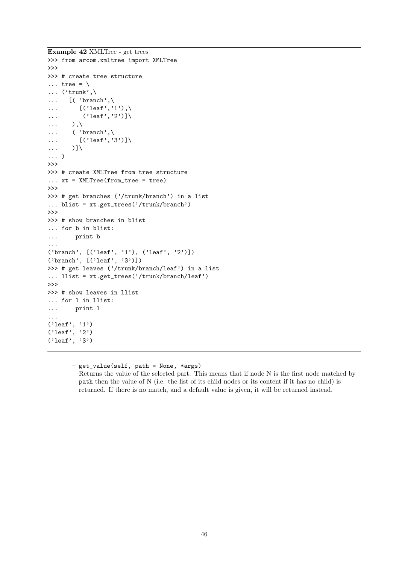Example 42 XMLTree - get\_trees

```
>>> from arcom.xmltree import XMLTree
>>>
>>> # create tree structure
\ldots tree = \setminus\ldots ('trunk',\
\ldots [( 'branch',\
\ldots [('leaf','1'),\
\ldots ('leaf','2')]
\ldots ),\
\ldots ( 'branch', \
\ldots [('leaf','3')]
\ldots )]\
... )
>>>
>>> # create XMLTree from tree structure
\dots xt = XMLTree(from_tree = tree)
>>>
>>> # get branches ('/trunk/branch') in a list
... blist = xt.get_trees('/trunk/branch')
>>>
>>> # show branches in blist
... for b in blist:
... print b
...
('branch', [('leaf', '1'), ('leaf', '2')])
('branch', [('leaf', '3')])
>>> # get leaves ('/trunk/branch/leaf') in a list
... llist = xt.get\_trees('/trunk/branch/leaf')>>>
>>> # show leaves in llist
... for l in llist:
... print l
...
('leaf', '1')
('leaf', '2')
('leaf', '3')
```
– get\_value(self, path = None, \*args) Returns the value of the selected part. This means that if node N is the first node matched by path then the value of N (i.e. the list of its child nodes or its content if it has no child) is returned. If there is no match, and a default value is given, it will be returned instead.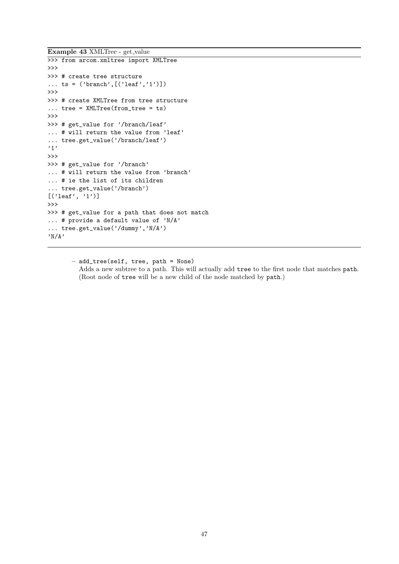Example 43 XMLTree - get value

```
>>> from arcom.xmltree import XMLTree
>>>
>>> # create tree structure
... ts = ('branch', [('leaf', '1')])>>>
>>> # create XMLTree from tree structure
... tree = XMLTree(from_tree = ts)
>>>
>>> # get_value for '/branch/leaf'
... # will return the value from 'leaf'
... tree.get_value('/branch/leaf')
'1'
>>>
>>> # get_value for '/branch'
... # will return the value from 'branch'
... # ie the list of its children
... tree.get_value('/branch')
[('leaf', '1')]>>>
>>> # get_value for a path that does not match
... # provide a default value of 'N/A'
... tree.get_value('/dummy','N/A')
'N/A'
```
– add\_tree(self, tree, path = None) Adds a new subtree to a path. This will actually add tree to the first node that matches path. (Root node of tree will be a new child of the node matched by path.)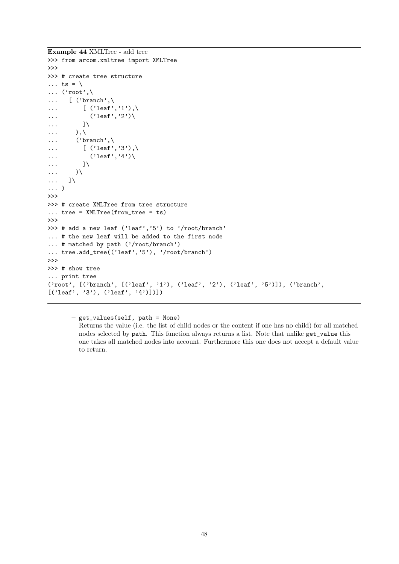Example 44 XMLTree - add\_tree

```
>>> from arcom.xmltree import XMLTree
>>>
>>> # create tree structure
\ldots ts = \setminus\ldots ('root',\
\ldots [ ('branch',\
\ldots [ ('leaf','1'),\
\ldots ('leaf','2')\
\ldots ]\
\ldots ),\
\ldots ('branch',\
\ldots [ ('leaf','3'),\
\ldots ('leaf','4')\
\ldots... )\
... ]\
... )
\rightarrow>>> # create XMLTree from tree structure
... tree = XMLTree(from_tree = ts)
>>>
>>> # add a new leaf ('leaf','5') to '/root/branch'
... # the new leaf will be added to the first node
... # matched by path ('/root/branch')
... tree.add_tree(('leaf','5'), '/root/branch')
>>>
>>> # show tree
... print tree
('root', [('branch', [('leaf', '1'), ('leaf', '2'), ('leaf', '5')]), ('branch',
[('leaf', '3'), ('leaf', '4')])])
```
– get\_values(self, path = None)

Returns the value (i.e. the list of child nodes or the content if one has no child) for all matched nodes selected by path. This function always returns a list. Note that unlike get\_value this one takes all matched nodes into account. Furthermore this one does not accept a default value to return.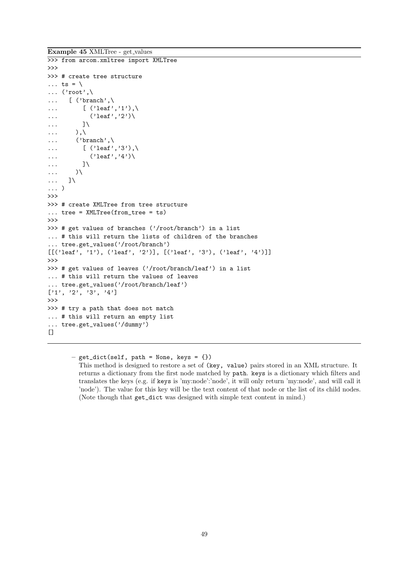Example 45 XMLTree - get values

```
>>> from arcom.xmltree import XMLTree
>>>
>>> # create tree structure
\ldots ts = \
\ldots ('root',\
\ldots [ ('branch',\
... \left[\right. (\text{'leaf'}, '1'), \right.\dots ('leaf','2')\
\ldots ]
\ldots ),\
\ldots ('branch',\
\dots [ ('leaf','3'),\
\ldots ('leaf','4')\
\ldots... )\
... ]\
... )
\rightarrow>>> # create XMLTree from tree structure
... tree = XMLTree(from_tree = ts)
>>>
>>> # get values of branches ('/root/branch') in a list
... # this will return the lists of children of the branches
... tree.get_values('/root/branch')
[('leaf', '1'), ('leaf', '2')], ('leaf', '3'), ('leaf', '4')]>>>
>>> # get values of leaves ('/root/branch/leaf') in a list
... # this will return the values of leaves
 ... tree.get_values('/root/branch/leaf')
[1', '2', '3', '4']>>>
>>> # try a path that does not match
... # this will return an empty list
... tree.get_values('/dummy')
[]
```
 $-$  get\_dict(self, path = None, keys = {}) This method is designed to restore a set of (key, value) pairs stored in an XML structure. It returns a dictionary from the first node matched by path. keys is a dictionary which filters and translates the keys (e.g. if keys is 'my:node':'node', it will only return 'my:node', and will call it 'node'). The value for this key will be the text content of that node or the list of its child nodes. (Note though that get\_dict was designed with simple text content in mind.)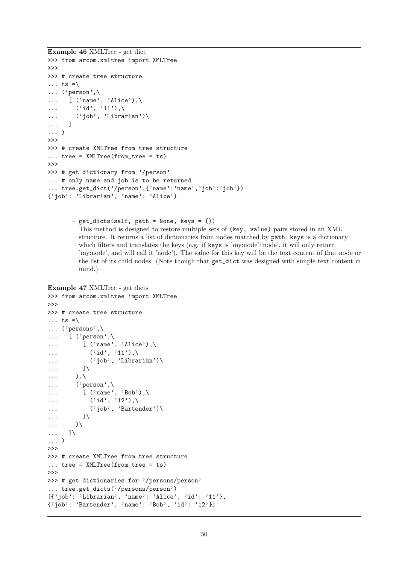Example 46 XMLTree - get dict

```
>>> from arcom.xmltree import XMLTree
>>>
>>> # create tree structure
\ldots ts =\
... ('person',\
\ldots [ ('name', 'Alice'),\
\ldots ('id', '11'),
... ('job', 'Librarian')\
... ]
... )
>>>
>>> # create XMLTree from tree structure
... tree = XMLTree(from_tree = ts)
\rightarrow>>> # get dictionary from '/person'
... # only name and job is to be returned
... tree.get_dict('/person',{'name':'name','job':'job'})
{'job': 'Librarian', 'name': 'Alice'}
```
 $-$  get\_dicts(self, path = None, keys = {}) This method is designed to restore multiple sets of (key, value) pairs stored in an XML structure. It returns a list of dictionaries from nodes matched by path. keys is a dictionary which filters and translates the keys (e.g. if keys is 'my:node':'node', it will only return 'my:node', and will call it 'node'). The value for this key will be the text content of that node or the list of its child nodes. (Note though that get\_dict was designed with simple text content in mind.)

Example 47 XMLTree - get dicts

```
>>> from arcom.xmltree import XMLTree
>>>
>>> # create tree structure
\ldots ts =\
... ('persons',\
... [ ('person',\
... [ ('name', 'Alice'),\
\ldots ('id', '11'),
... ('job', 'Librarian')\
\ldots ]\
\ldots ),\
... ('person',\
\ldots [ ('name', 'Bob'),
\ldots ('id', '12'),
... ('job', 'Bartender')\
\ldots ]\
... )\
... ]\
... )
>>>
>>> # create XMLTree from tree structure
... tree = XMLTree(from_tree = ts)
\rightarrow>>> # get dictionaries for '/persons/person'
... tree.get_dicts('/persons/person')
[\{\prime\, {\sf job}\colon\; \verb|'Librarian',\; \verb|'name':\; \verb|'Alice',\; \verb|'id':\; \verb|'11'}\},{'job': 'Bartender', 'name': 'Bob', 'id': '12'}]
```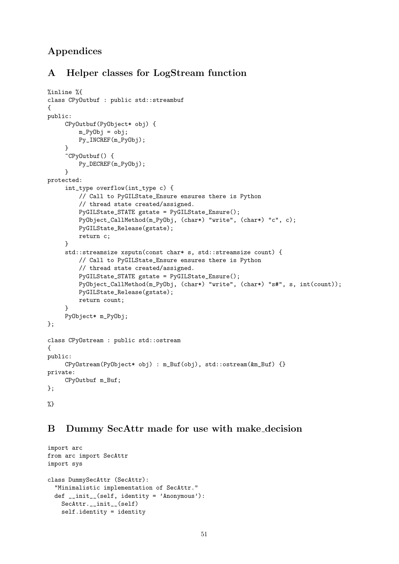# Appendices

# A Helper classes for LogStream function

```
%inline %{
class CPyOutbuf : public std::streambuf
{
public:
     CPyOutbuf(PyObject* obj) {
         m_PyObj = obj;
         Py_INCREF(m_PyObj);
     }
     ~CPyOutbuf() {
         Py_DECREF(m_PyObj);
     }
protected:
     int_type overflow(int_type c) {
         // Call to PyGILState_Ensure ensures there is Python
         // thread state created/assigned.
         PyGILState_STATE gstate = PyGILState_Ensure();
         PyObject_CallMethod(m_PyObj, (char*) "write", (char*) "c", c);
         PyGILState_Release(gstate);
         return c;
     }
     std::streamsize xsputn(const char* s, std::streamsize count) {
         // Call to PyGILState_Ensure ensures there is Python
         // thread state created/assigned.
         PyGILState_STATE gstate = PyGILState_Ensure();
         PyObject_CallMethod(m_PyObj, (char*) "write", (char*) "s#", s, int(count));
         PyGILState_Release(gstate);
         return count;
     }
     PyObject* m_PyObj;
};
class CPyOstream : public std::ostream
{
public:
     CPyOstream(PyObject* obj) : m_Buf(obj), std::ostream(&m_Buf) {}
private:
     CPyOutbuf m_Buf;
};
%}
```
# B Dummy SecAttr made for use with make decision

```
import arc
from arc import SecAttr
import sys
class DummySecAttr (SecAttr):
  "Minimalistic implementation of SecAttr."
  def _{-}init_{-}(self, identity = 'Anonymous'):
    SecAttr.__init__(self)
    self.identity = identity
```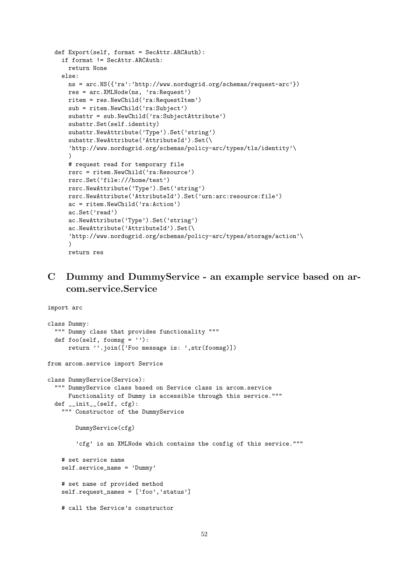```
def Export(self, format = SecAttr.ARCAuth):
  if format != SecAttr.ARCAuth:
   return None
  else:
   ns = arc.NS({'ra':'http://www.nordugrid.org/schemas/request-arc'})
   res = arc.XMLNode(ns, 'ra:Request')
   ritem = res.NewChild('ra:RequestItem')
   sub = ritem.NewChild('ra:Subject')
   subattr = sub.NewChild('ra:SubjectAttribute')
   subattr.Set(self.identity)
   subattr.NewAttribute('Type').Set('string')
   subattr.NewAttribute('AttributeId').Set(\
   'http://www.nordugrid.org/schemas/policy-arc/types/tls/identity'\
   \lambda# request read for temporary file
   rsrc = ritem.NewChild('ra:Resource')
   rsrc.Set('file:///home/test')
   rsrc.NewAttribute('Type').Set('string')
   rsrc.NewAttribute('AttributeId').Set('urn:arc:resource:file')
   ac = ritem.NewChild('ra:Action')
   ac.Set('read')
   ac.NewAttribute('Type').Set('string')
   ac.NewAttribute('AttributeId').Set(\
   'http://www.nordugrid.org/schemas/policy-arc/types/storage/action'\
   \lambdareturn res
```
# C Dummy and DummyService - an example service based on arcom.service.Service

```
import arc
class Dummy:
  """ Dummy class that provides functionality """
  def foo(self, foomsg = '):
      return ''.join(['Foo message is: ',str(foomsg)])
from arcom.service import Service
class DummyService(Service):
  """ DummyService class based on Service class in arcom.service
      Functionality of Dummy is accessible through this service."""
  def __init__(self, cfg):
    """ Constructor of the DummyService
        DummyService(cfg)
        'cfg' is an XMLNode which contains the config of this service."""
    # set service name
    self.service_name = 'Dummy'
    # set name of provided method
    self.request_names = ['foo','status']
    # call the Service's constructor
```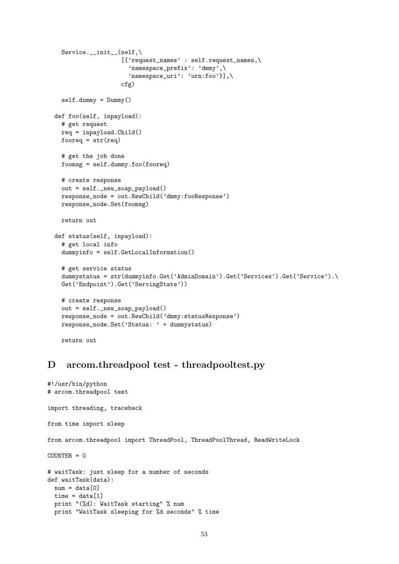```
Service.__init__(self,\
                   [{'request_names' : self.request_names,\
                     'namespace_prefix': 'dmmy',\
                     'namespace_uri': 'urn:foo'}],\
                   cfg)
  self.dummy = Dummy()
def foo(self, inpayload):
 # get request
 req = inpayload.Child()
 fooreq = str(req)# get the job done
 foomsg = self.dummy.foo(fooreq)
 # create response
 out = self._new_soap_payload()
 response_node = out.NewChild('dmmy:fooResponse')
 response_node.Set(foomsg)
 return out
def status(self, inpayload):
  # get local info
  dummyinfo = self.GetLocalInformation()
  # get service status
  dummystatus = str(dummyinfo.Get('AdminDomain').Get('Services').Get('Service').\
 Get('Endpoint').Get('ServingState'))
 # create response
 out = self._new_soap_payload()
 response_node = out.NewChild('dmmy:statusResponse')
 response_node.Set('Status: ' + dummystatus)
 return out
```
## <span id="page-53-0"></span>D arcom.threadpool test - threadpooltest.py

```
#!/usr/bin/python
# arcom.threadpool test
import threading, traceback
from time import sleep
from arcom.threadpool import ThreadPool, ThreadPoolThread, ReadWriteLock
COUNTER = 0# waitTask: just sleep for a number of seconds
def waitTask(data):
  num = data[0]time = data[1]print "(%d): WaitTask starting" % num
  print "WaitTask sleeping for %d seconds" % time
```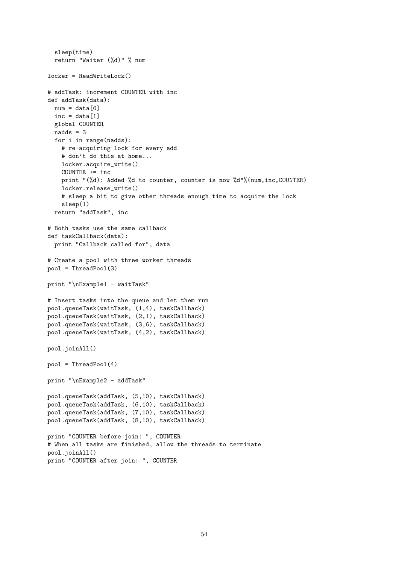```
sleep(time)
  return "Waiter (%d)" % num
locker = ReadWriteLock()
# addTask: increment COUNTER with inc
def addTask(data):
  num = data[0]inc = data[1]global COUNTER
  nadds = 3for i in range(nadds):
    # re-acquiring lock for every add
    # don't do this at home...
    locker.acquire_write()
    COUNTER += inc
    print "(%d): Added %d to counter, counter is now %d"%(num,inc,COUNTER)
    locker.release_write()
    # sleep a bit to give other threads enough time to acquire the lock
    sleep(1)
  return "addTask", inc
# Both tasks use the same callback
def taskCallback(data):
  print "Callback called for", data
# Create a pool with three worker threads
pool = ThreadPool(3)
print "\nExample1 - waitTask"
# Insert tasks into the queue and let them run
pool.queueTask(waitTask, (1,4), taskCallback)
pool.queueTask(waitTask, (2,1), taskCallback)
pool.queueTask(waitTask, (3,6), taskCallback)
pool.queueTask(waitTask, (4,2), taskCallback)
pool.joinAll()
pool = ThreadPool(4)print "\nExample2 - addTask"
pool.queueTask(addTask, (5,10), taskCallback)
pool.queueTask(addTask, (6,10), taskCallback)
pool.queueTask(addTask, (7,10), taskCallback)
pool.queueTask(addTask, (8,10), taskCallback)
print "COUNTER before join: ", COUNTER
# When all tasks are finished, allow the threads to terminate
pool.joinAll()
print "COUNTER after join: ", COUNTER
```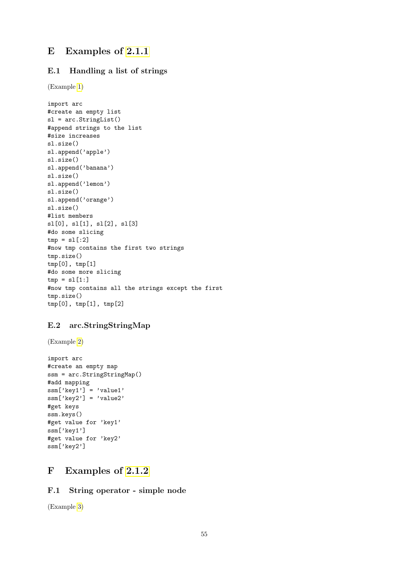# E Examples of [2.1.1](#page-5-0)

## E.1 Handling a list of strings

(Example [1\)](#page-6-0)

```
import arc
#create an empty list
sl = arc.StringList()
#append strings to the list
#size increases
sl.size()
sl.append('apple')
sl.size()
sl.append('banana')
sl.size()
sl.append('lemon')
sl.size()
sl.append('orange')
sl.size()
#list members
sl[0], sl[1], sl[2], sl[3]
#do some slicing
tmp = s1[:2]#now tmp contains the first two strings
tmp.size()
tmp[0], tmp[1]
#do some more slicing
tmp = s1[1:]#now tmp contains all the strings except the first
tmp.size()
tmp[0], tmp[1], tmp[2]
```
## E.2 arc.StringStringMap

(Example [2\)](#page-7-0)

```
import arc
#create an empty map
ssm = arc.StringStringMap()
#add mapping
ssm['key1'] = 'value1'
ssm['key2'] = 'value2'#get keys
ssm.keys()
#get value for 'key1'
ssm['key1']
#get value for 'key2'
ssm['key2']
```
# F Examples of [2.1.2](#page-8-0)

## F.1 String operator - simple node

(Example [3\)](#page-9-0)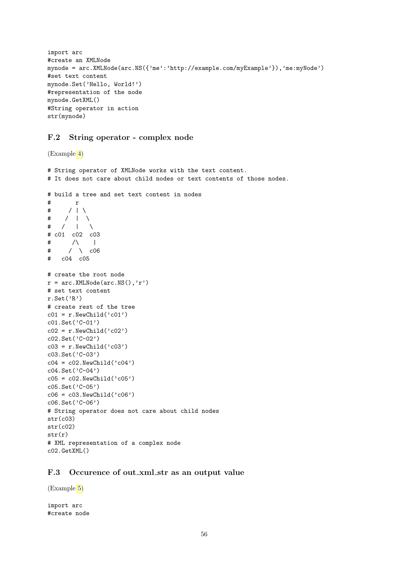```
import arc
#create an XMLNode
mynode = arc.XMLNode(arc.NS({'me':'http://example.com/myExample'}),'me:myNode')
#set text content
mynode.Set('Hello, World!')
#representation of the node
mynode.GetXML()
#String operator in action
str(mynode)
```
## F.2 String operator - complex node

(Example [4\)](#page-9-1)

```
# String operator of XMLNode works with the text content.
# It does not care about child nodes or text contents of those nodes.
# build a tree and set text content in nodes
# r
\begin{array}{ccc} \# & / & | \setminus \\ \# & / & | \end{array}\begin{array}{cc} / & | & \setminus \\ / & | & \setminus \end{array}# / |# c01 c02 c03
\# /\ |
\# / \ \cos# c04 c05
# create the root node
r = arc.MLNode(arc.NS(), 'r')# set text content
r.Set('R')
# create rest of the tree
c01 = r.NewChild('c01')c01.Set('C-01')
c02 = r.NewChild('c02')c02.Set('C-02')
c03 = r.NewChild('c03')c03.Set('C-03')
c04 = c02.NewChild('c04')
c04.Set('C-04')
c05 = c02.NewChild('c05')
c05.Set('C-05')
c06 = c03.NewChild('c06')
c06.Set('C-06')
# String operator does not care about child nodes
str(c03)
str(c02)
str(r)
# XML representation of a complex node
c02.GetXML()
```
### F.3 Occurence of out xml str as an output value

(Example [5\)](#page-10-0)

import arc #create node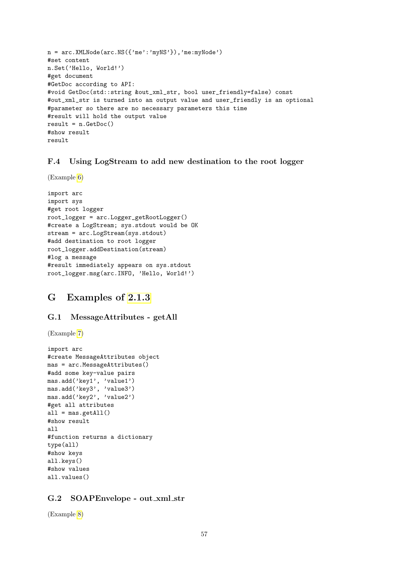```
n = arc.XMLNode(arc.NS({'me':'myNS'}),'me:myNode')
#set content
n.Set('Hello, World!')
#get document
#GetDoc according to API:
#void GetDoc(std::string &out_xml_str, bool user_friendly=false) const
#out_xml_str is turned into an output value and user_friendly is an optional
#parameter so there are no necessary parameters this time
#result will hold the output value
result = n.GetDoc()#show result
result
```
## F.4 Using LogStream to add new destination to the root logger

(Example [6\)](#page-11-0)

```
import arc
import sys
#get root logger
root_logger = arc.Logger_getRootLogger()
#create a LogStream; sys.stdout would be OK
stream = arc.LogStream(sys.stdout)
#add destination to root logger
root_logger.addDestination(stream)
#log a message
#result immediately appears on sys.stdout
root_logger.msg(arc.INFO, 'Hello, World!')
```
# G Examples of [2.1.3](#page-11-1)

#### G.1 MessageAttributes - getAll

(Example [7\)](#page-12-0)

```
import arc
#create MessageAttributes object
mas = arc.MessageAttributes()
#add some key-value pairs
mas.add('key1', 'value1')
mas.add('key3', 'value3')
mas.add('key2', 'value2')
#get all attributes
all = \text{mas.getAll}()#show result
all
#function returns a dictionary
type(all)
#show keys
all.keys()
#show values
all.values()
```
### G.2 SOAPEnvelope - out xml str

(Example [8\)](#page-13-0)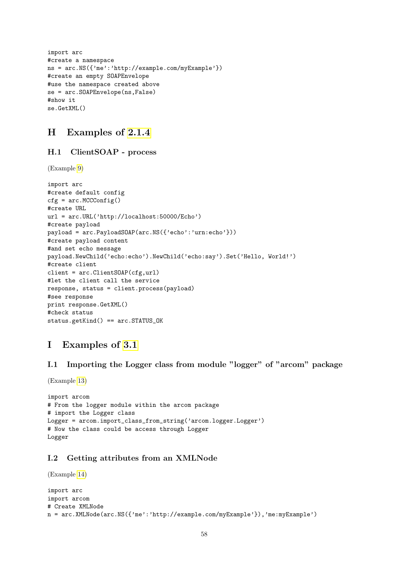```
import arc
#create a namespace
ns = arc.NS({'me':'http://example.com/myExample'})
#create an empty SOAPEnvelope
#use the namespace created above
se = arc.SOAPEnvelope(ns,False)
#show it
se.GetXML()
```
# H Examples of [2.1.4](#page-13-1)

## H.1 ClientSOAP - process

(Example [9\)](#page-14-0)

```
import arc
#create default config
cfg = arc.MCCConfig()#create URL
url = arc.URL('http://localhost:50000/Echo')
#create payload
payload = arc.PayloadSOAP(arc.NS({'echo':'urn:echo'}))
#create payload content
#and set echo message
payload.NewChild('echo:echo').NewChild('echo:say').Set('Hello, World!')
#create client
client = arc.ClientSOR(Cfg, url)#let the client call the service
response, status = client.process(payload)
#see response
print response.GetXML()
#check status
status.getKind() == arc.STATUS_OK
```
# I Examples of [3.1](#page-19-0)

I.1 Importing the Logger class from module "logger" of "arcom" package

(Example [13\)](#page-20-0)

```
import arcom
# From the logger module within the arcom package
# import the Logger class
Logger = arcom.import_class_from_string('arcom.logger.Logger')
# Now the class could be access through Logger
Logger
```
## I.2 Getting attributes from an XMLNode

```
(Example 14)
import arc
import arcom
# Create XMLNode
n = arc.XMLNode(arc.NS({'me':'http://example.com/myExample'}),'me:myExample')
```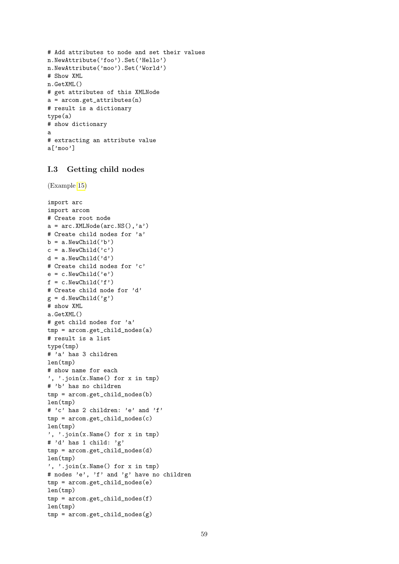```
# Add attributes to node and set their values
n.NewAttribute('foo').Set('Hello')
n.NewAttribute('moo').Set('World')
# Show XML
n.GetXML()
# get attributes of this XMLNode
a = \arccos{\theta}.get_attributes(n)
# result is a dictionary
type(a)
# show dictionary
a
# extracting an attribute value
a['moo']
```
## I.3 Getting child nodes

```
(Example 15)
```

```
import arc
import arcom
# Create root node
a = arc.MLNode(arc.NS(), 'a')# Create child nodes for 'a'
b = a.NewChild('b')c = a.NewChild('c')d = a.NewChild('d')# Create child nodes for 'c'
e = c.NewChild('e')f = c.NewChild('f')# Create child node for 'd'
g = d.NewChild('g')# show XML
a.GetXML()
# get child nodes for 'a'
tmp = arcom.get_child_nodes(a)
# result is a list
type(tmp)
# 'a' has 3 children
len(tmp)
# show name for each
', '.join(x.Name() for x in tmp)
# 'b' has no children
tmp = arcom.get_child_nodes(b)
len(tmp)
# 'c' has 2 children: 'e' and 'f'
tmp = arcom.get_child_nodes(c)
len(tmp)
', '.join(x.Name() for x in tmp)
# 'd' has 1 child: 'g'
tmp = arcom.get_child_nodes(d)
len(tmp)
', '.join(x.Name() for x in tmp)
# nodes 'e', 'f' and 'g' have no children
tmp = arcom.get_child_nodes(e)
len(tmp)
tmp = arcom.get_child_nodes(f)
len(tmp)
tmp = \text{arcom.get\_child\_nodes}(g)
```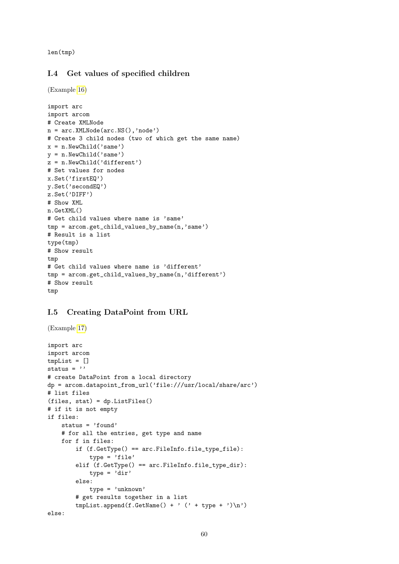len(tmp)

### I.4 Get values of specified children

(Example [16\)](#page-23-0)

```
import arc
import arcom
# Create XMLNode
n = arc.XMLNode(arc.NS(),'node')
# Create 3 child nodes (two of which get the same name)
x = n.NewChild('same')y = n.NewChild('same')
z = n.NewChild('different')
# Set values for nodes
x.Set('firstEQ')
y.Set('secondEQ')
z.Set('DIFF')
# Show XML
n.GetXML()
# Get child values where name is 'same'
tmp = arcom.get_child_values_by_name(n,'same')
# Result is a list
type(tmp)
# Show result
tmp
# Get child values where name is 'different'
tmp = arcom.get_child_values_by_name(n,'different')
# Show result
tmp
```
## I.5 Creating DataPoint from URL

```
(Example 17)
```

```
import arc
import arcom
tmpList = []
status = ''
# create DataPoint from a local directory
dp = arcom.datapoint_from_url('file:///usr/local/share/arc')
# list files
(files, stat) = dp.ListFiles()
# if it is not empty
if files:
    status = 'found'
    # for all the entries, get type and name
    for f in files:
        if (f.GetType() == arc.FileInfo.file_type_file):
            type = 'file'elif (f.GetType() == arc.FileInfo.file_type_dir):
            type = 'dir'else:
            type = 'unknown'
        # get results together in a list
        tmpList.append(f.GetName() + ' (' + type + ')\n')else:
```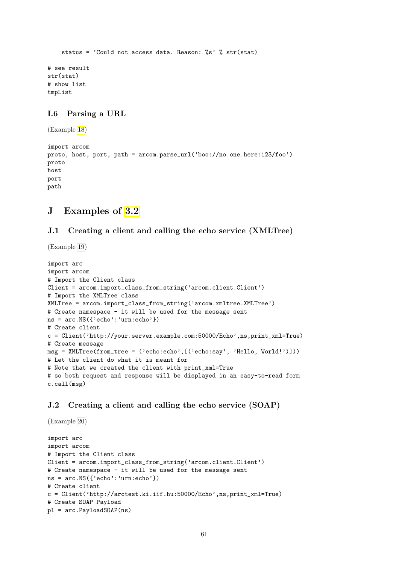status = 'Could not access data. Reason:  $\frac{1}{18}$ '  $\frac{1}{8}$  str(stat)

# see result str(stat) # show list tmpList

## I.6 Parsing a URL

(Example [18\)](#page-24-1)

import arcom proto, host, port, path = arcom.parse\_url('boo://no.one.here:123/foo') proto host port path

## J Examples of [3.2](#page-24-2)

## J.1 Creating a client and calling the echo service (XMLTree)

(Example [19\)](#page-25-0)

```
import arc
import arcom
# Import the Client class
Client = arcom.import_class_from_string('arcom.client.Client')
# Import the XMLTree class
XMLTree = arcom.import_class_from_string('arcom.xmltree.XMLTree')
# Create namespace - it will be used for the message sent
ns = arc.NS({'echo': 'urn:echo'}# Create client
c = Client('http://your.server.example.com:50000/Echo',ns,print_xml=True)
# Create message
msg = XMLTree(from\_tree = ('echo:echo', ['echo:say', 'Hello, World!')]))# Let the client do what it is meant for
# Note that we created the client with print_xml=True
# so both request and response will be displayed in an easy-to-read form
c.call(msg)
```
## J.2 Creating a client and calling the echo service (SOAP)

(Example [20\)](#page-26-0)

```
import arc
import arcom
# Import the Client class
Client = arcom.import_class_from_string('arcom.client.Client')
# Create namespace - it will be used for the message sent
ns = arc.NS({'echo':'urn:echo'})
# Create client
c = Client('http://arctest.ki.iif.hu:50000/Écho',ns,print.xml=True)# Create SOAP Payload
pl = arc.PayloadSOAP(ns)
```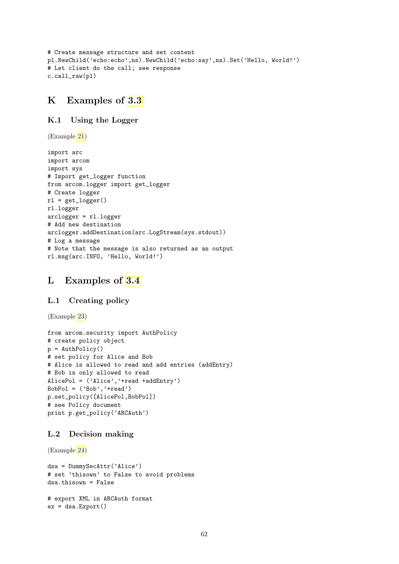```
# Create message structure and set content
pl.NewChild('echo:echo',ns).NewChild('echo:say',ns).Set('Hello, World!')
# Let client do the call; see response
c.call_raw(pl)
```
## K Examples of [3.3](#page-26-1)

## K.1 Using the Logger

(Example [21\)](#page-27-0)

```
import arc
import arcom
import sys
# Import get_logger function
from arcom.logger import get_logger
# Create logger
rl = get\_logger()rl.logger
arclogger = rl.logger
# Add new destination
arclogger.addDestination(arc.LogStream(sys.stdout))
# Log a message
# Note that the message is also returned as an output
rl.msg(arc.INFO, 'Hello, World!')
```
## L Examples of [3.4](#page-27-1)

## L.1 Creating policy

(Example [23\)](#page-28-0)

```
from arcom.security import AuthPolicy
# create policy object
p = AuthPolicy()
# set policy for Alice and Bob
# Alice is allowed to read and add entries (addEntry)
# Bob is only allowed to read
AlicePol = ('Alice', '+read +addEntry')
BobPol = ('Bob', '+read')p.set_policy([AlicePol,BobPol])
# see Policy document
print p.get_policy('ARCAuth')
```
## L.2 Decision making

(Example [24\)](#page-29-0)

```
dsa = DummySecAttr('Alice')
# set 'thisown' to False to avoid problems
dsa.thisown = False
# export XML in ARCAuth format
```

```
ex = dsa.Export()
```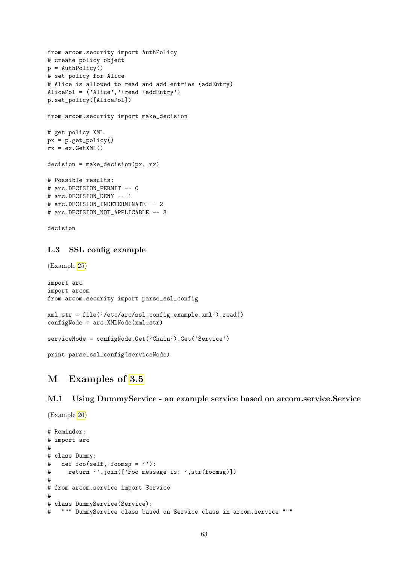```
from arcom.security import AuthPolicy
# create policy object
p = AuthPolicy()
# set policy for Alice
# Alice is allowed to read and add entries (addEntry)
AlicePol = ('Alice', '+read +addEntry')
p.set_policy([AlicePol])
from arcom.security import make_decision
# get policy XML
px = p.get\_policy()rx = ex.GetXML()decision = make_decision(px, rx)
# Possible results:
# arc.DECISION_PERMIT -- 0
# arc.DECISION_DENY -- 1
# arc.DECISION_INDETERMINATE -- 2
# arc.DECISION_NOT_APPLICABLE -- 3
```

```
decision
```
### L.3 SSL config example

(Example [25\)](#page-30-0)

(Example [26\)](#page-31-0)

```
import arc
import arcom
from arcom.security import parse_ssl_config
xml_str = file('/etc/arc/ssl_config_example.xml').read()
configNode = arc.XMLNode(xml_str)
serviceNode = configNode.Get('Chain').Get('Service')
print parse_ssl_config(serviceNode)
```
# M Examples of [3.5](#page-30-1)

M.1 Using DummyService - an example service based on arcom.service.Service

```
# Reminder:
# import arc
#
# class Dummy:
# def foo(self, foomsg = ''):
# return ''.join(['Foo message is: ',str(foomsg)])
#
# from arcom.service import Service
#
# class DummyService(Service):
# """ DummyService class based on Service class in arcom.service """
```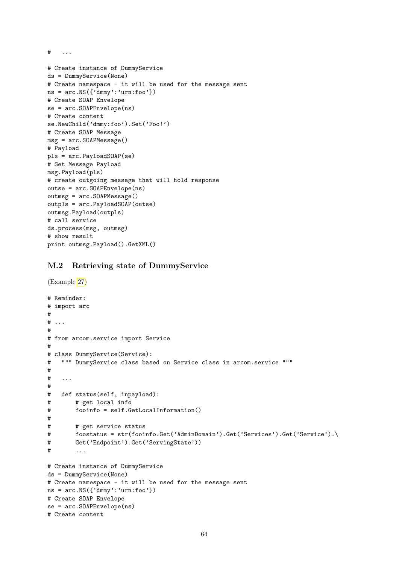$\#$  ...

```
# Create instance of DummyService
ds = DummyService(None)
# Create namespace - it will be used for the message sent
ns = arc.NS({'dmmy':'urn:foo'}# Create SOAP Envelope
se = arc.SOAPEnvelope(ns)
# Create content
se.NewChild('dmmy:foo').Set('Foo!')
# Create SOAP Message
msg = arc.SOAPMessage()
# Payload
pls = arc.PayloadSOAP(se)
# Set Message Payload
msg.Payload(pls)
# create outgoing message that will hold response
outse = arc.SOAPEnvelope(ns)
outmsg = arc.SOAPMessage()
outpls = arc.PayloadSOAP(outse)
outmsg.Payload(outpls)
# call service
ds.process(msg, outmsg)
# show result
print outmsg.Payload().GetXML()
```
### M.2 Retrieving state of DummyService

```
(Example 27)
# Reminder:
# import arc
#
# \ldots#
# from arcom.service import Service
#
# class DummyService(Service):
# """ DummyService class based on Service class in arcom.service """
#
   . . . .
#
# def status(self, inpayload):
# # get local info
# fooinfo = self.GetLocalInformation()
#
# # get service status
# foostatus = str(fooinfo.Get('AdminDomain').Get('Services').Get('Service').
# Get('Endpoint').Get('ServingState'))
# ...
# Create instance of DummyService
```

```
ds = DummyService(None)
# Create namespace - it will be used for the message sent
ns = arc.NS({'dmmy':'urn:foo'}# Create SOAP Envelope
se = arc.SOAPEnvelope(ns)
# Create content
```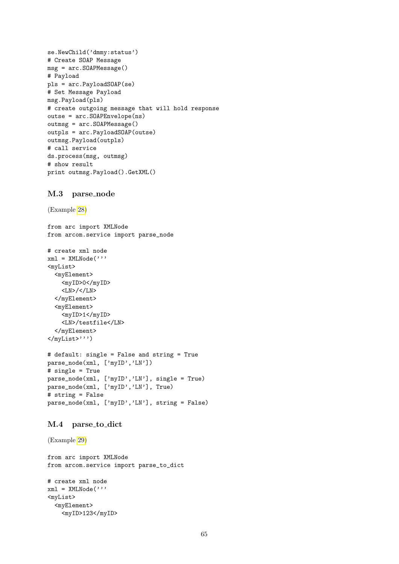```
se.NewChild('dmmy:status')
# Create SOAP Message
msg = arc.SOAPMessage()
# Payload
pls = arc.PayloadSOAP(se)
# Set Message Payload
msg.Payload(pls)
# create outgoing message that will hold response
outse = arc.SOAPEnvelope(ns)
outmsg = arc.SOAPMessage()
outpls = arc.PayloadSOAP(outse)
outmsg.Payload(outpls)
# call service
ds.process(msg, outmsg)
# show result
print outmsg.Payload().GetXML()
```
#### M.3 parse node

```
(Example 28)
```
from arc import XMLNode from arcom.service import parse\_node

```
# create xml node
xml = XMLNode('')<myList>
  <myElement>
    <myID>0</myID>
    <LN>/</LN>
  </myElement>
  <myElement>
    <myID>1</myID>
    <LN>/testfile</LN>
  </myElement>
</myList>''')
```

```
# default: single = False and string = True
parse_node(xml, ['myID','LN'])
# single = True
parse_node(xml, ['myID','LN'], single = True)
parse_node(xml, ['myID','LN'], True)
# string = False
parse_node(xml, ['myID','LN'], string = False)
```
#### M.4 parse to dict

```
(Example 29)
```

```
from arc import XMLNode
from arcom.service import parse_to_dict
```

```
# create xml node
xml = XMLNode('')<myList>
  <myElement>
    <myID>123</myID>
```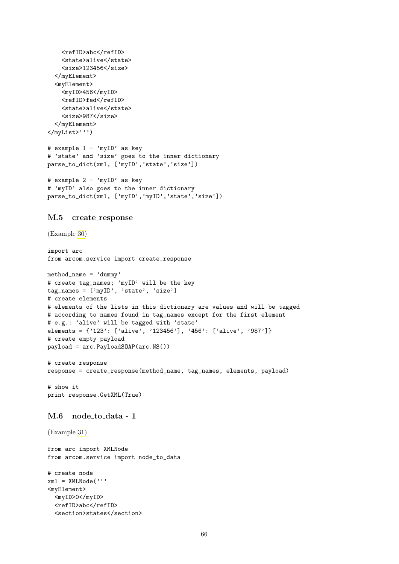```
<refID>abc</refID>
    <state>alive</state>
    <size>123456</size>
  </myElement>
  <myElement>
    <myID>456</myID>
    <refID>fed</refID>
    <state>alive</state>
    <size>987</size>
  </myElement>
</myList>''')
# example 1 - 'myID' as key
# 'state' and 'size' goes to the inner dictionary
parse_to_dict(xml, ['myID','state','size'])
# example 2 - 'myID' as key
# 'myID' also goes to the inner dictionary
parse_to_dict(xml, ['myID','myID','state','size'])
M.5 create response
(Example 30)
import arc
from arcom.service import create_response
method_name = 'dummy'# create tag_names; 'myID' will be the key
tag_names = ['myID', 'state', 'size']# create elements
# elements of the lists in this dictionary are values and will be tagged
# according to names found in tag_names except for the first element
# e.g.: 'alive' will be tagged with 'state'
elements = {'123': ['alive', '123456'], '456': ['alive', '987']}
# create empty payload
payload = arc.PayloadSOAP(arc.NS())
# create response
response = create_response(method_name, tag_names, elements, payload)
# show it
print response.GetXML(True)
M.6 node to data - 1
(Example 31)
```

```
from arc import XMLNode
from arcom.service import node_to_data
# create node
xml = XMLNode('')<myElement>
  <myID>0</myID>
  <refID>abc</refID>
  <section>states</section>
```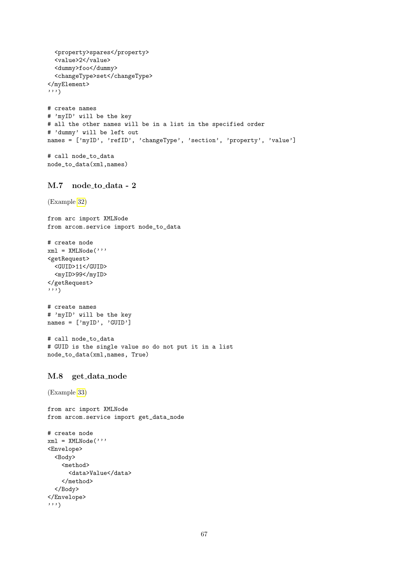```
<property>spares</property>
  <value>2</value>
  <dummy>foo</dummy>
  <changeType>set</changeType>
</myElement>
''')
# create names
# 'myID' will be the key
# all the other names will be in a list in the specified order
# 'dummy' will be left out
names = ['myID', 'refID', 'changeType', 'section', 'property', 'value']
# call node_to_data
node_to_data(xml,names)
```
## M.7 node\_to\_data - 2

```
(Example 32)
```
from arc import XMLNode from arcom.service import node\_to\_data

```
# create node
xml = XMLNode('')<getRequest>
  <GUID>11</GUID>
  <myID>99</myID>
</getRequest>
''')
```

```
# create names
# 'myID' will be the key
names = ['myID', 'GUID']
```

```
# call node_to_data
# GUID is the single value so do not put it in a list
node_to_data(xml,names, True)
```
#### M.8 get data node

(Example [33\)](#page-37-0)

```
from arc import XMLNode
from arcom.service import get_data_node
# create node
xml = XMLNode('')<Envelope>
  <Body>
    <method>
      <data>Value</data>
    </method>
  </Body>
</Envelope>
''')
```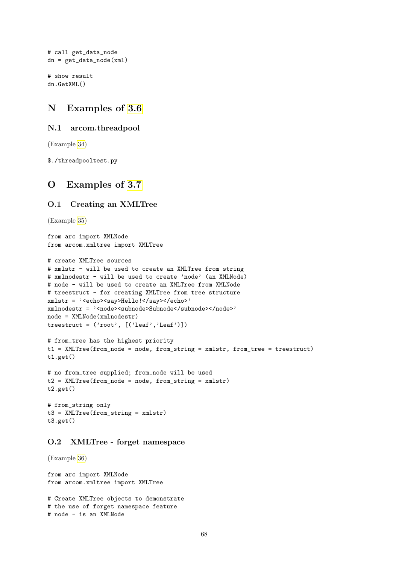```
# call get_data_node
dn = get_data_model(xml)
```

```
# show result
dn.GetXML()
```
## N Examples of [3.6](#page-37-1)

### N.1 arcom.threadpool

(Example [34\)](#page-39-0)

\$./threadpooltest.py

## O Examples of [3.7](#page-39-1)

## O.1 Creating an XMLTree

```
(Example 35)
```

```
from arc import XMLNode
from arcom.xmltree import XMLTree
# create XMLTree sources
# xmlstr - will be used to create an XMLTree from string
# xmlnodestr - will be used to create 'node' (an XMLNode)
# node - will be used to create an XMLTree from XMLNode
# treestruct - for creating XMLTree from tree structure
xmlstr = '<echo><say>Hello!</say></echo>'
xmlnodestr = '<node><subnode>Subnode</subnode></node>'
node = XMLNode(xmlnodestr)
treestruct = ('root', [('leaf','Leaf')])
# from_tree has the highest priority
t1 = XMLTree(from_node = node, from_string = xmlstr, from_tree = treestruct)
t1.get()
# no from_tree supplied; from_node will be used
```

```
t2 = XMLTree(from_node = node, from_string = xmlstr)
t2.get()
```

```
# from_string only
t3 = XMLTree(from_string = xmlstr)
t3.get()
```
## O.2 XMLTree - forget namespace

(Example [36\)](#page-41-0)

from arc import XMLNode from arcom.xmltree import XMLTree

```
# Create XMLTree objects to demonstrate
# the use of forget namespace feature
# node - is an XMLNode
```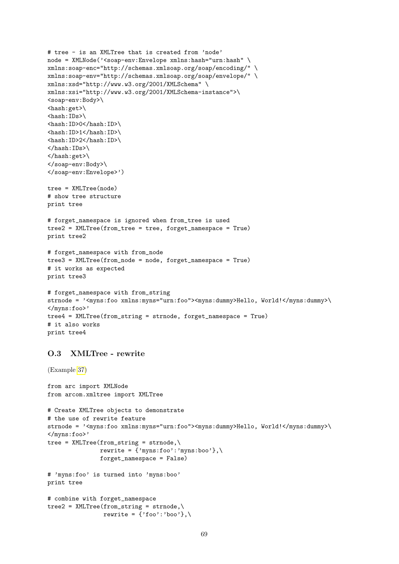```
# tree - is an XMLTree that is created from 'node'
node = XMLNode('<soap-env:Envelope xmlns:hash="urn:hash" \setminusxmlns:soap-enc="http://schemas.xmlsoap.org/soap/encoding/" \
xmlns:soap-env="http://schemas.xmlsoap.org/soap/envelope/" \
xmlns:xsd="http://www.w3.org/2001/XMLSchema" \
xmlns:xsi="http://www.w3.org/2001/XMLSchema-instance">\
<soap-env:Body>\
\langle hash:get\rangle\setminus\langlehash:IDs>\
<hash:ID>0</hash:ID>\
\langle hash:ID>1</math><hash:ID>2</hash:ID>\
\langlehash:IDs>\
\langlehash:get>\
</soap-env:Body>\
</soap-env:Envelope>')
tree = XMLTree(node)
# show tree structure
print tree
# forget_namespace is ignored when from_tree is used
tree2 = XMLTree(from_tree = tree, forget_namespace = True)
print tree2
# forget_namespace with from_node
tree3 = XMLTree(from_node = node, forget_namespace = True)
# it works as expected
print tree3
# forget_namespace with from_string
strnode = '<myns:foo xmlns:myns="urn:foo"><myns:dummy>Hello, World!</myns:dummy>\
</myns:foo>'
tree4 = XMLTree(from_string = strnode, forget_namespace = True)
# it also works
print tree4
O.3 XMLTree - rewrite
(Example 37)
from arc import XMLNode
from arcom.xmltree import XMLTree
# Create XMLTree objects to demonstrate
# the use of rewrite feature
strnode = '<myns:foo xmlns:myns="urn:foo"><myns:dummy>Hello, World!</myns:dummy>\
</myns:foo>'
tree = XMLTree(from_string = strnode, \n\rewrite = {\text{'}'myns:}foo':'myns:boo'},\
                forget_namespace = False)
# 'myns:foo' is turned into 'myns:boo'
print tree
# combine with forget_namespace
tree2 = XMLTree(from_string = strnode, \n\rewrite = \{ 'foo' : 'boo' \}, \
```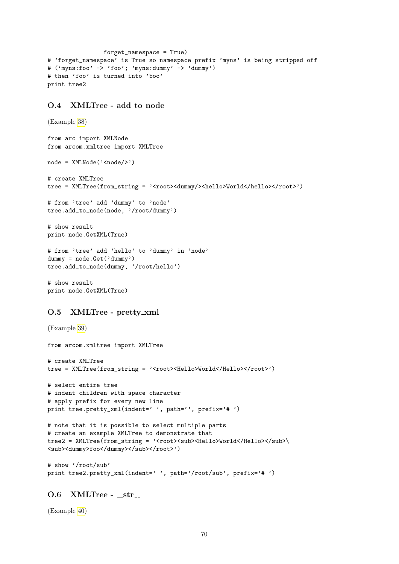```
forget_namespace = True)
# 'forget_namespace' is True so namespace prefix 'myns' is being stripped off
# ('myns:foo' -> 'foo'; 'myns:dummy' -> 'dummy')
# then 'foo' is turned into 'boo'
print tree2
```
#### O.4 XMLTree - add to node

```
(Example 38)
from arc import XMLNode
from arcom.xmltree import XMLTree
node = XMLNode('<node/>')
# create XMLTree
tree = XMLTree(from_string = '<root><dummy/>>>>><hello>World</hello></root>')
# from 'tree' add 'dummy' to 'node'
tree.add_to_node(node, '/root/dummy')
# show result
print node.GetXML(True)
# from 'tree' add 'hello' to 'dummy' in 'node'
dummy = node.Get('dummy')
tree.add_to_node(dummy, '/root/hello')
# show result
print node.GetXML(True)
```
## O.5 XMLTree - pretty xml

```
(Example 39)
from arcom.xmltree import XMLTree
# create XMLTree
tree = XMLTree(from_string = '<root><Hello>World</Hello></root>')
# select entire tree
# indent children with space character
# apply prefix for every new line
print tree.pretty_xml(indent=' ', path='', prefix='# ')
# note that it is possible to select multiple parts
# create an example XMLTree to demonstrate that
tree2 = XMLTree(from_string = '<root><sub><Hello>World</Hello></sub>\
<sub><dummy>foo</dummy></sub></root>')
# show '/root/sub'
print tree2.pretty_xml(indent=' ', path='/root/sub', prefix='# ')
```
## $O.6$  XMLTree -  $str_{-}$

(Example [40\)](#page-44-1)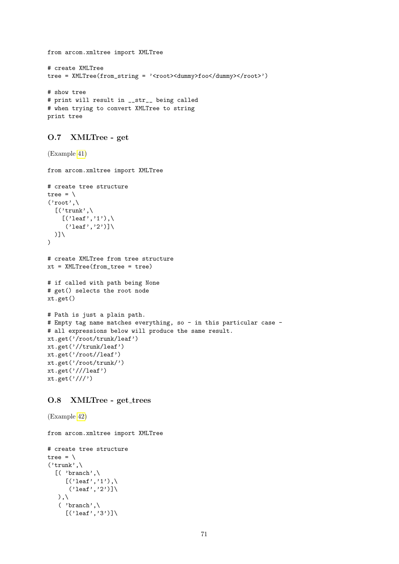```
from arcom.xmltree import XMLTree
# create XMLTree
tree = XMLTree(from_string = '<root><dummy>foo</dummy></root>')
# show tree
# print will result in __str__ being called
# when trying to convert XMLTree to string
print tree
```
### O.7 XMLTree - get

```
(Example 41)
from arcom.xmltree import XMLTree
# create tree structure
tree = \setminus('root',\n)[(\prime \text{trunk'}, \cdot)[(\text{'leaf'}, '1'), \text{'}('leaf', '2')]\setminus)]\
\lambda# create XMLTree from tree structure
xt = XMLTree(from_tree = tree)
# if called with path being None
# get() selects the root node
xt.get()
# Path is just a plain path.
# Empty tag name matches everything, so - in this particular case -
# all expressions below will produce the same result.
xt.get('/root/trunk/leaf')
xt.get('//trunk/leaf')
xt.get('/root//leaf')
xt.get('/root/trunk/')
xt.get('///leaf')xt.get('///')
```
## O.8 XMLTree - get\_trees

(Example [42\)](#page-46-0)

from arcom.xmltree import XMLTree

```
# create tree structure
tree = \lambda('trunk',\`[( 'branch',\
         [(\,^\circ\text{leaf}^\prime\,,\,^\circ\text{1}^\prime)\,,\,
          ('leaf', '2')]\setminus), \lambda( 'branch',\
         [(\text{'leaf'},\text{'3'})]\setminus
```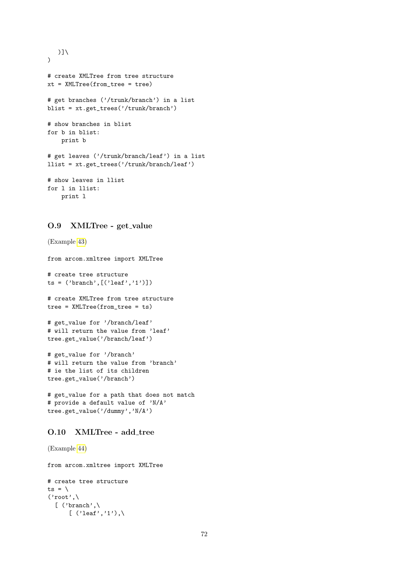```
)]\
\lambda# create XMLTree from tree structure
xt = XMLTree(from_tree = tree)
# get branches ('/trunk/branch') in a list
blist = xt.get_trees('/trunk/branch')
# show branches in blist
for b in blist:
    print b
# get leaves ('/trunk/branch/leaf') in a list
llist = xt.get_trees('/trunk/branch/leaf')
# show leaves in llist
for l in llist:
    print l
```
## O.9 XMLTree - get\_value

```
(Example 43)
from arcom.xmltree import XMLTree
# create tree structure
ts = ('branch', [('leaf', '1')])# create XMLTree from tree structure
tree = XMLTree(from_tree = ts)
# get_value for '/branch/leaf'
# will return the value from 'leaf'
tree.get_value('/branch/leaf')
# get_value for '/branch'
# will return the value from 'branch'
# ie the list of its children
tree.get_value('/branch')
# get_value for a path that does not match
# provide a default value of 'N/A'
```
#### O.10 XMLTree - add tree

tree.get\_value('/dummy','N/A')

(Example [44\)](#page-48-0)

from arcom.xmltree import XMLTree

```
# create tree structure
ts = \setminus('root',\
  [ ('branch',\
       [ ('leaf','1'),\
```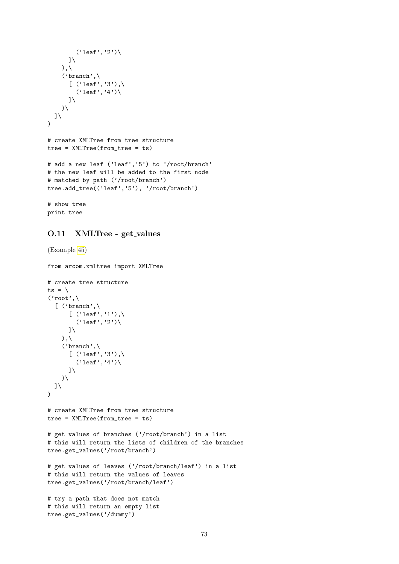```
('leaf', '2')\\exists \lambda), \setminus('branch',\
       [('leaf', '3'), \mathcal{N}]('leaf', '4')\\overline{1}\lambda\overline{J}\lambda# create XMLTree from tree structure
tree = XMLTree(from_tree = ts)
# add a new leaf ('leaf','5') to '/root/branch'
# the new leaf will be added to the first node
# matched by path ('/root/branch')
tree.add_tree(('leaf','5'), '/root/branch')
# show tree
```
## O.11 XMLTree - get\_values

print tree

```
(Example 45)
from arcom.xmltree import XMLTree
# create tree structure
ts = \setminus('root',\
  [ ('branch',\
       [('leaf', '1'), \mathcal{N}]('leaf', '2')\\exists \setminus), \langle('branch',\
      [ ('leaf', '3'), \('leaf', '4')\\exists \lambda\lambda\overline{J}\lambda# create XMLTree from tree structure
tree = XMLTree(from_tree = ts)
# get values of branches ('/root/branch') in a list
# this will return the lists of children of the branches
tree.get_values('/root/branch')
# get values of leaves ('/root/branch/leaf') in a list
# this will return the values of leaves
tree.get_values('/root/branch/leaf')
# try a path that does not match
# this will return an empty list
tree.get_values('/dummy')
```